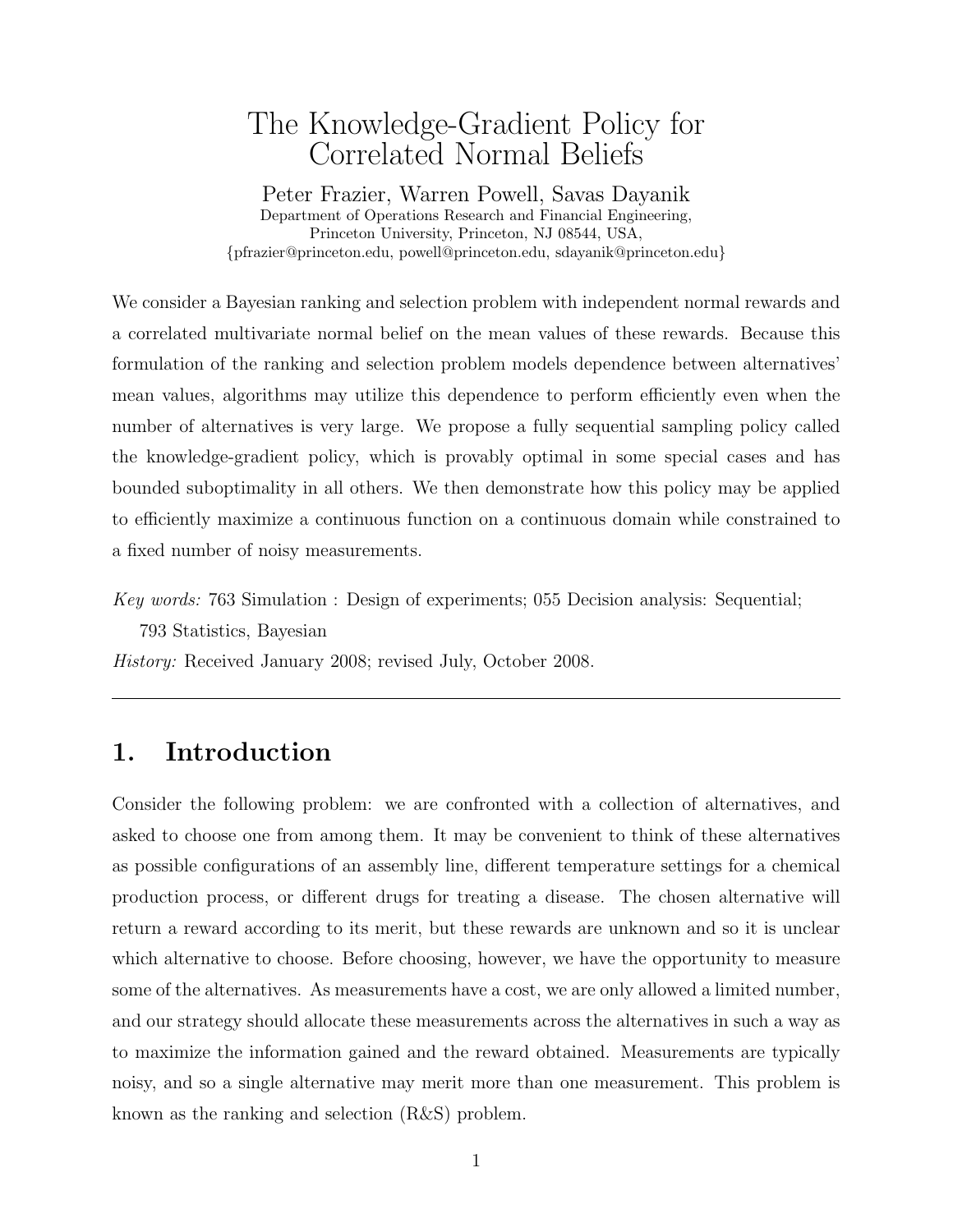# The Knowledge-Gradient Policy for Correlated Normal Beliefs

Peter Frazier, Warren Powell, Savas Dayanik Department of Operations Research and Financial Engineering, Princeton University, Princeton, NJ 08544, USA, {pfrazier@princeton.edu, powell@princeton.edu, sdayanik@princeton.edu}

We consider a Bayesian ranking and selection problem with independent normal rewards and a correlated multivariate normal belief on the mean values of these rewards. Because this formulation of the ranking and selection problem models dependence between alternatives' mean values, algorithms may utilize this dependence to perform efficiently even when the number of alternatives is very large. We propose a fully sequential sampling policy called the knowledge-gradient policy, which is provably optimal in some special cases and has bounded suboptimality in all others. We then demonstrate how this policy may be applied to efficiently maximize a continuous function on a continuous domain while constrained to a fixed number of noisy measurements.

Key words: 763 Simulation : Design of experiments; 055 Decision analysis: Sequential;

793 Statistics, Bayesian

History: Received January 2008; revised July, October 2008.

## 1. Introduction

Consider the following problem: we are confronted with a collection of alternatives, and asked to choose one from among them. It may be convenient to think of these alternatives as possible configurations of an assembly line, different temperature settings for a chemical production process, or different drugs for treating a disease. The chosen alternative will return a reward according to its merit, but these rewards are unknown and so it is unclear which alternative to choose. Before choosing, however, we have the opportunity to measure some of the alternatives. As measurements have a cost, we are only allowed a limited number, and our strategy should allocate these measurements across the alternatives in such a way as to maximize the information gained and the reward obtained. Measurements are typically noisy, and so a single alternative may merit more than one measurement. This problem is known as the ranking and selection (R&S) problem.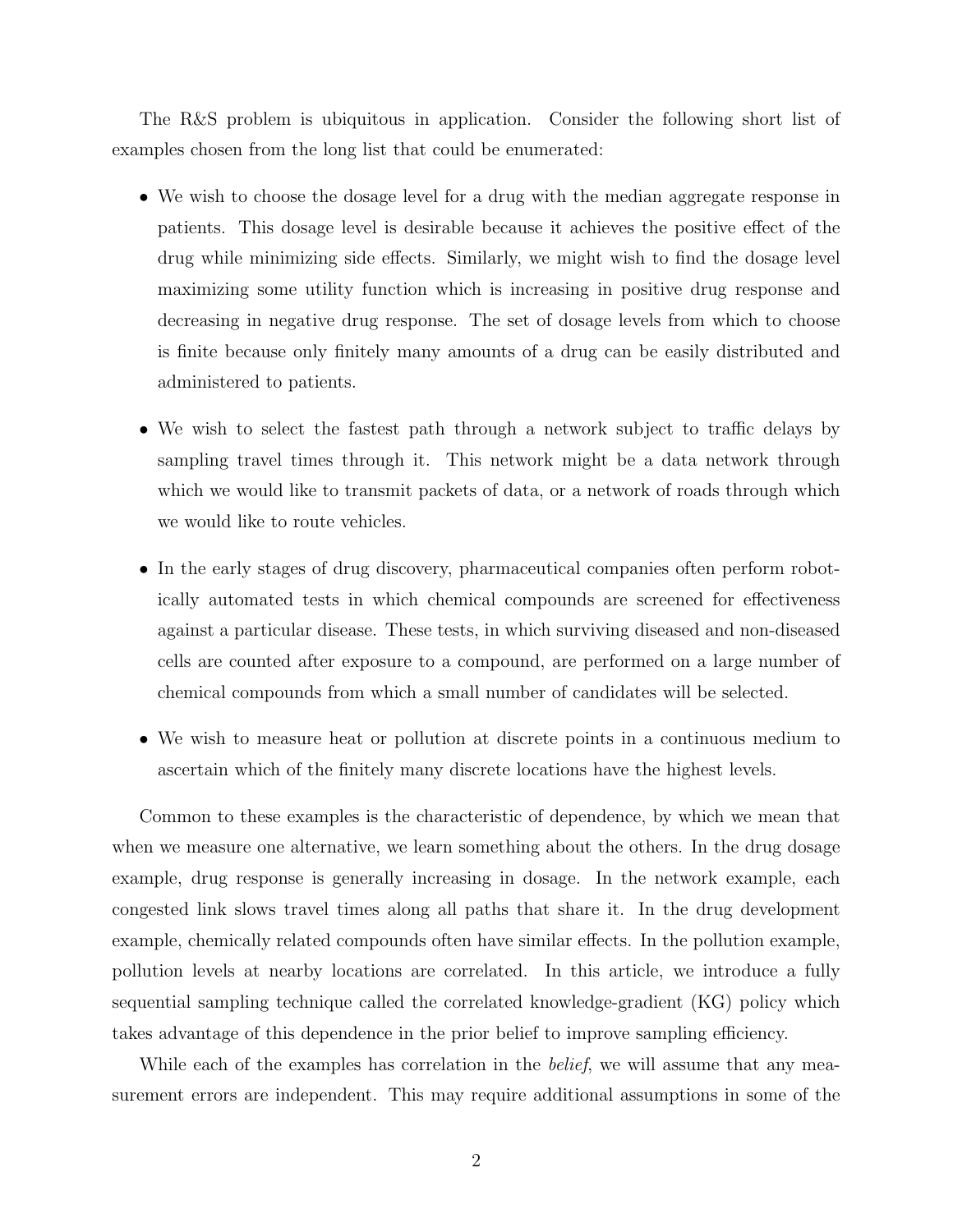The R&S problem is ubiquitous in application. Consider the following short list of examples chosen from the long list that could be enumerated:

- We wish to choose the dosage level for a drug with the median aggregate response in patients. This dosage level is desirable because it achieves the positive effect of the drug while minimizing side effects. Similarly, we might wish to find the dosage level maximizing some utility function which is increasing in positive drug response and decreasing in negative drug response. The set of dosage levels from which to choose is finite because only finitely many amounts of a drug can be easily distributed and administered to patients.
- We wish to select the fastest path through a network subject to traffic delays by sampling travel times through it. This network might be a data network through which we would like to transmit packets of data, or a network of roads through which we would like to route vehicles.
- In the early stages of drug discovery, pharmaceutical companies often perform robotically automated tests in which chemical compounds are screened for effectiveness against a particular disease. These tests, in which surviving diseased and non-diseased cells are counted after exposure to a compound, are performed on a large number of chemical compounds from which a small number of candidates will be selected.
- We wish to measure heat or pollution at discrete points in a continuous medium to ascertain which of the finitely many discrete locations have the highest levels.

Common to these examples is the characteristic of dependence, by which we mean that when we measure one alternative, we learn something about the others. In the drug dosage example, drug response is generally increasing in dosage. In the network example, each congested link slows travel times along all paths that share it. In the drug development example, chemically related compounds often have similar effects. In the pollution example, pollution levels at nearby locations are correlated. In this article, we introduce a fully sequential sampling technique called the correlated knowledge-gradient (KG) policy which takes advantage of this dependence in the prior belief to improve sampling efficiency.

While each of the examples has correlation in the *belief*, we will assume that any measurement errors are independent. This may require additional assumptions in some of the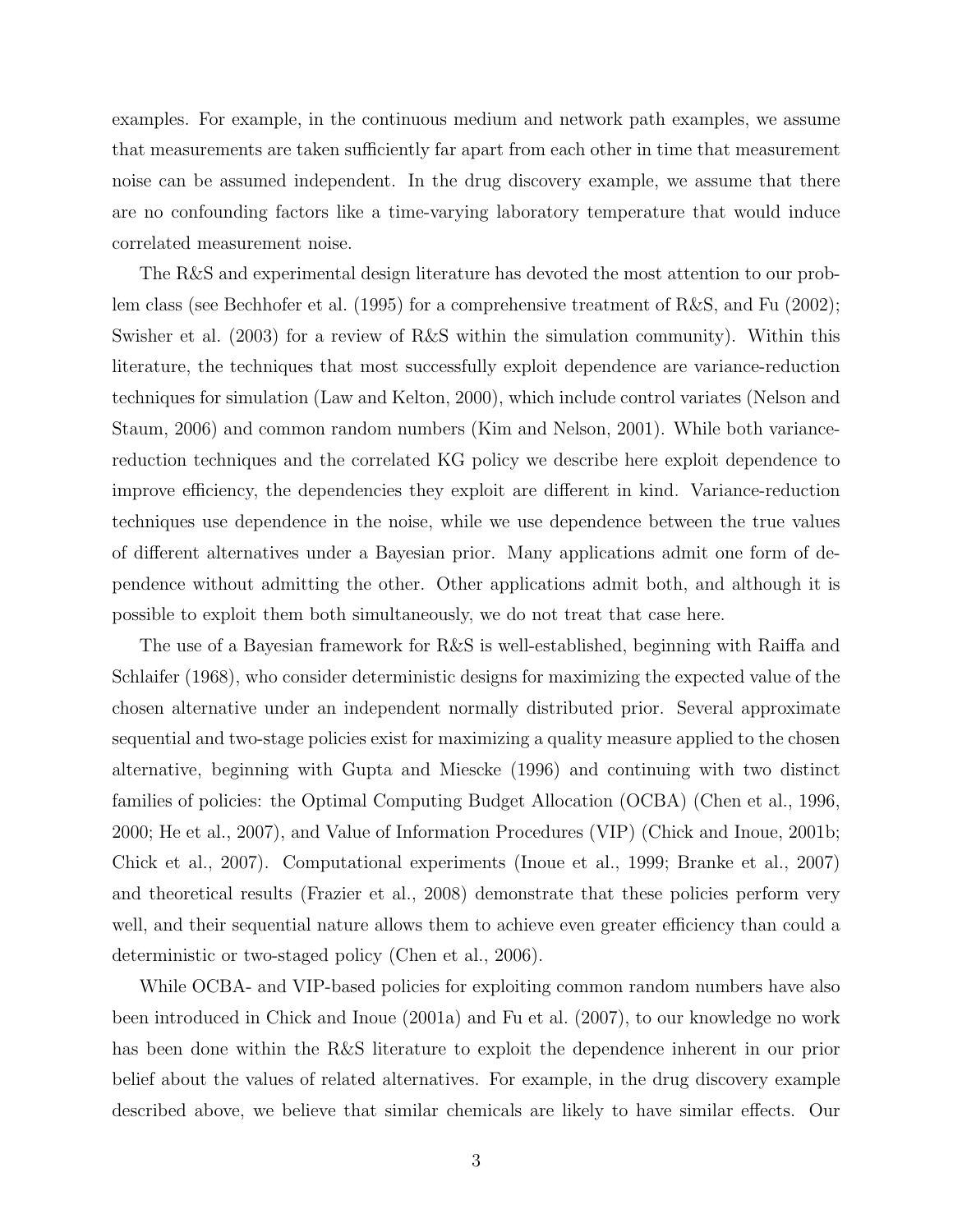examples. For example, in the continuous medium and network path examples, we assume that measurements are taken sufficiently far apart from each other in time that measurement noise can be assumed independent. In the drug discovery example, we assume that there are no confounding factors like a time-varying laboratory temperature that would induce correlated measurement noise.

The R&S and experimental design literature has devoted the most attention to our problem class (see Bechhofer et al. (1995) for a comprehensive treatment of R&S, and Fu (2002); Swisher et al. (2003) for a review of R&S within the simulation community). Within this literature, the techniques that most successfully exploit dependence are variance-reduction techniques for simulation (Law and Kelton, 2000), which include control variates (Nelson and Staum, 2006) and common random numbers (Kim and Nelson, 2001). While both variancereduction techniques and the correlated KG policy we describe here exploit dependence to improve efficiency, the dependencies they exploit are different in kind. Variance-reduction techniques use dependence in the noise, while we use dependence between the true values of different alternatives under a Bayesian prior. Many applications admit one form of dependence without admitting the other. Other applications admit both, and although it is possible to exploit them both simultaneously, we do not treat that case here.

The use of a Bayesian framework for R&S is well-established, beginning with Raiffa and Schlaifer (1968), who consider deterministic designs for maximizing the expected value of the chosen alternative under an independent normally distributed prior. Several approximate sequential and two-stage policies exist for maximizing a quality measure applied to the chosen alternative, beginning with Gupta and Miescke (1996) and continuing with two distinct families of policies: the Optimal Computing Budget Allocation (OCBA) (Chen et al., 1996, 2000; He et al., 2007), and Value of Information Procedures (VIP) (Chick and Inoue, 2001b; Chick et al., 2007). Computational experiments (Inoue et al., 1999; Branke et al., 2007) and theoretical results (Frazier et al., 2008) demonstrate that these policies perform very well, and their sequential nature allows them to achieve even greater efficiency than could a deterministic or two-staged policy (Chen et al., 2006).

While OCBA- and VIP-based policies for exploiting common random numbers have also been introduced in Chick and Inoue (2001a) and Fu et al. (2007), to our knowledge no work has been done within the R&S literature to exploit the dependence inherent in our prior belief about the values of related alternatives. For example, in the drug discovery example described above, we believe that similar chemicals are likely to have similar effects. Our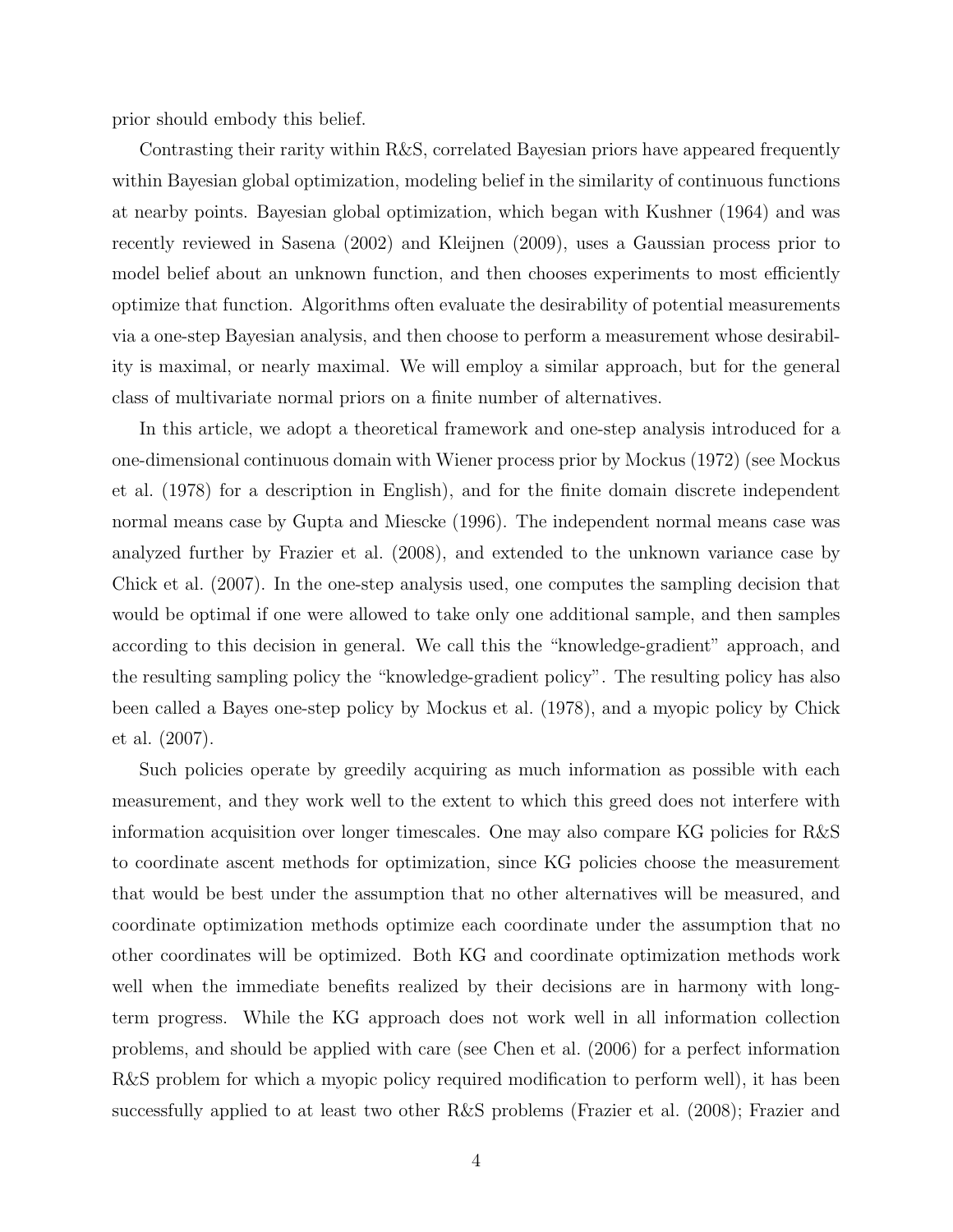prior should embody this belief.

Contrasting their rarity within R&S, correlated Bayesian priors have appeared frequently within Bayesian global optimization, modeling belief in the similarity of continuous functions at nearby points. Bayesian global optimization, which began with Kushner (1964) and was recently reviewed in Sasena (2002) and Kleijnen (2009), uses a Gaussian process prior to model belief about an unknown function, and then chooses experiments to most efficiently optimize that function. Algorithms often evaluate the desirability of potential measurements via a one-step Bayesian analysis, and then choose to perform a measurement whose desirability is maximal, or nearly maximal. We will employ a similar approach, but for the general class of multivariate normal priors on a finite number of alternatives.

In this article, we adopt a theoretical framework and one-step analysis introduced for a one-dimensional continuous domain with Wiener process prior by Mockus (1972) (see Mockus et al. (1978) for a description in English), and for the finite domain discrete independent normal means case by Gupta and Miescke (1996). The independent normal means case was analyzed further by Frazier et al. (2008), and extended to the unknown variance case by Chick et al. (2007). In the one-step analysis used, one computes the sampling decision that would be optimal if one were allowed to take only one additional sample, and then samples according to this decision in general. We call this the "knowledge-gradient" approach, and the resulting sampling policy the "knowledge-gradient policy". The resulting policy has also been called a Bayes one-step policy by Mockus et al. (1978), and a myopic policy by Chick et al. (2007).

Such policies operate by greedily acquiring as much information as possible with each measurement, and they work well to the extent to which this greed does not interfere with information acquisition over longer timescales. One may also compare KG policies for R&S to coordinate ascent methods for optimization, since KG policies choose the measurement that would be best under the assumption that no other alternatives will be measured, and coordinate optimization methods optimize each coordinate under the assumption that no other coordinates will be optimized. Both KG and coordinate optimization methods work well when the immediate benefits realized by their decisions are in harmony with longterm progress. While the KG approach does not work well in all information collection problems, and should be applied with care (see Chen et al. (2006) for a perfect information R&S problem for which a myopic policy required modification to perform well), it has been successfully applied to at least two other R&S problems (Frazier et al. (2008); Frazier and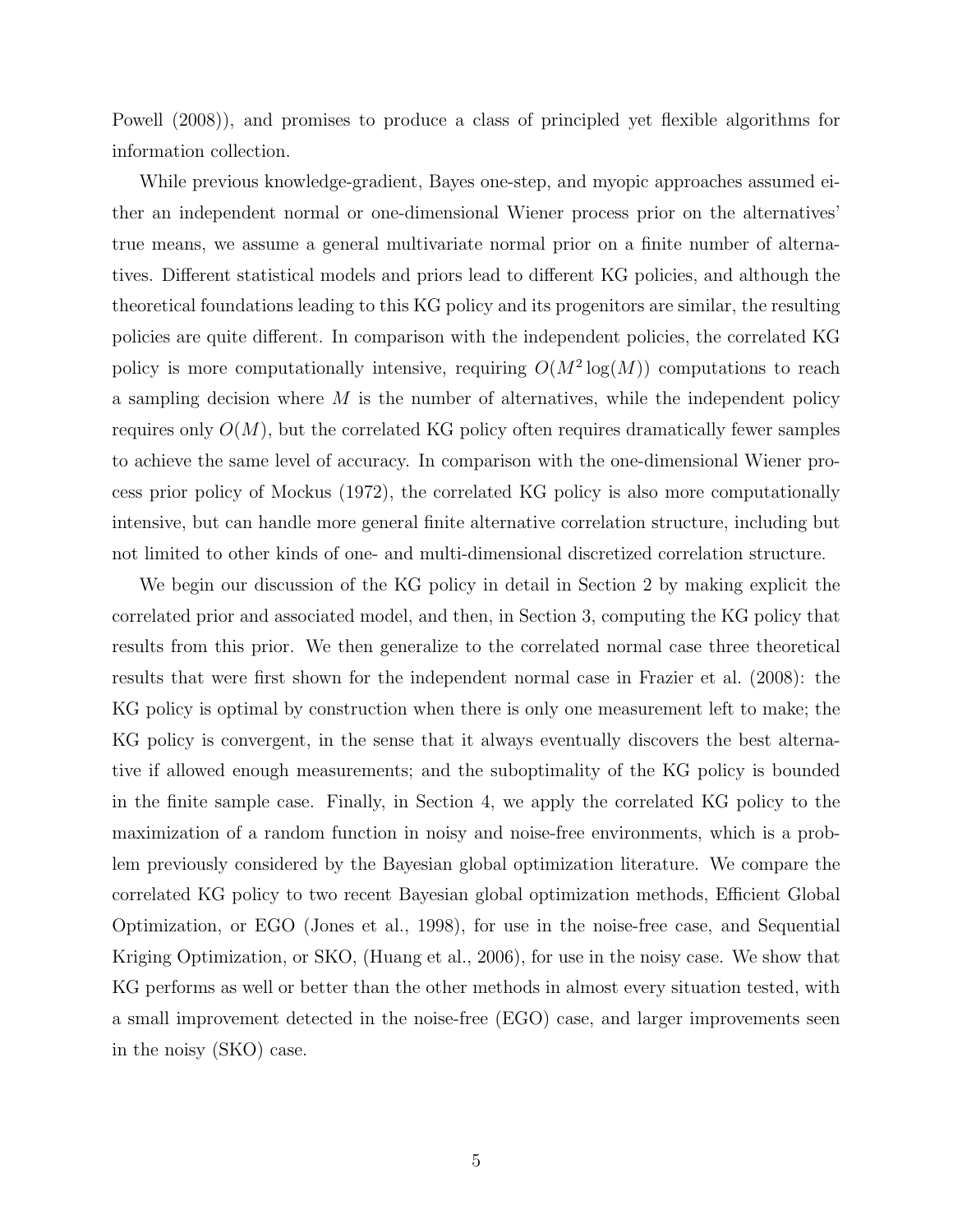Powell (2008)), and promises to produce a class of principled yet flexible algorithms for information collection.

While previous knowledge-gradient, Bayes one-step, and myopic approaches assumed either an independent normal or one-dimensional Wiener process prior on the alternatives' true means, we assume a general multivariate normal prior on a finite number of alternatives. Different statistical models and priors lead to different KG policies, and although the theoretical foundations leading to this KG policy and its progenitors are similar, the resulting policies are quite different. In comparison with the independent policies, the correlated KG policy is more computationally intensive, requiring  $O(M^2 \log(M))$  computations to reach a sampling decision where  $M$  is the number of alternatives, while the independent policy requires only  $O(M)$ , but the correlated KG policy often requires dramatically fewer samples to achieve the same level of accuracy. In comparison with the one-dimensional Wiener process prior policy of Mockus (1972), the correlated KG policy is also more computationally intensive, but can handle more general finite alternative correlation structure, including but not limited to other kinds of one- and multi-dimensional discretized correlation structure.

We begin our discussion of the KG policy in detail in Section 2 by making explicit the correlated prior and associated model, and then, in Section 3, computing the KG policy that results from this prior. We then generalize to the correlated normal case three theoretical results that were first shown for the independent normal case in Frazier et al. (2008): the KG policy is optimal by construction when there is only one measurement left to make; the KG policy is convergent, in the sense that it always eventually discovers the best alternative if allowed enough measurements; and the suboptimality of the KG policy is bounded in the finite sample case. Finally, in Section 4, we apply the correlated KG policy to the maximization of a random function in noisy and noise-free environments, which is a problem previously considered by the Bayesian global optimization literature. We compare the correlated KG policy to two recent Bayesian global optimization methods, Efficient Global Optimization, or EGO (Jones et al., 1998), for use in the noise-free case, and Sequential Kriging Optimization, or SKO, (Huang et al., 2006), for use in the noisy case. We show that KG performs as well or better than the other methods in almost every situation tested, with a small improvement detected in the noise-free (EGO) case, and larger improvements seen in the noisy (SKO) case.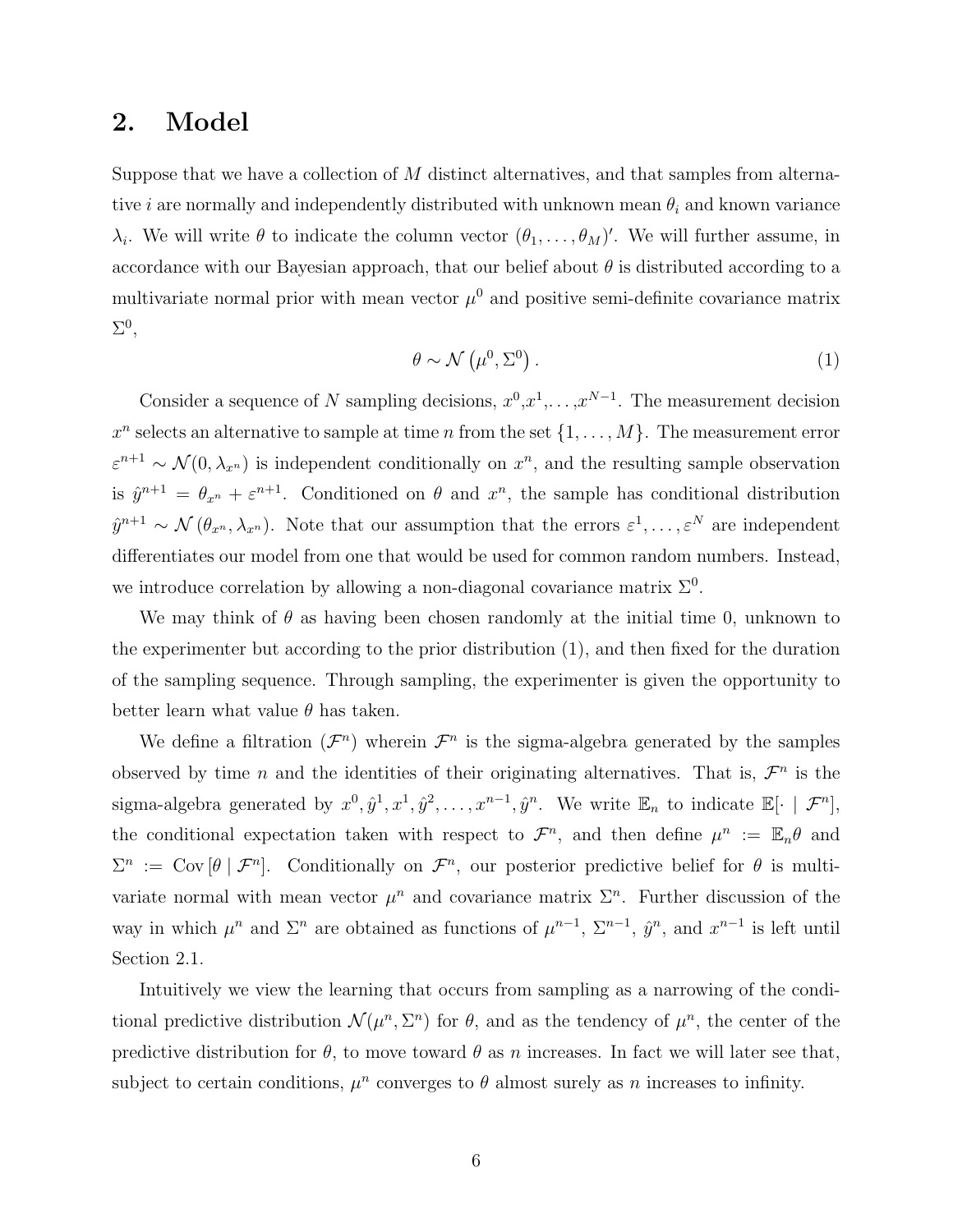### 2. Model

Suppose that we have a collection of M distinct alternatives, and that samples from alternative *i* are normally and independently distributed with unknown mean  $\theta_i$  and known variance  $\lambda_i$ . We will write  $\theta$  to indicate the column vector  $(\theta_1, \ldots, \theta_M)'$ . We will further assume, in accordance with our Bayesian approach, that our belief about  $\theta$  is distributed according to a multivariate normal prior with mean vector  $\mu^0$  and positive semi-definite covariance matrix  $\Sigma^0$ ,

$$
\theta \sim \mathcal{N}\left(\mu^0, \Sigma^0\right). \tag{1}
$$

Consider a sequence of N sampling decisions,  $x^0, x^1, \ldots, x^{N-1}$ . The measurement decision  $x^n$  selects an alternative to sample at time n from the set  $\{1,\ldots,M\}$ . The measurement error  $\varepsilon^{n+1} \sim \mathcal{N}(0, \lambda_{x^n})$  is independent conditionally on  $x^n$ , and the resulting sample observation is  $\hat{y}^{n+1} = \theta_{x^n} + \varepsilon^{n+1}$ . Conditioned on  $\theta$  and  $x^n$ , the sample has conditional distribution  $\hat{y}^{n+1} \sim \mathcal{N}(\theta_{x^n}, \lambda_{x^n})$ . Note that our assumption that the errors  $\epsilon^1, \ldots, \epsilon^N$  are independent differentiates our model from one that would be used for common random numbers. Instead, we introduce correlation by allowing a non-diagonal covariance matrix  $\Sigma^0$ .

We may think of  $\theta$  as having been chosen randomly at the initial time 0, unknown to the experimenter but according to the prior distribution (1), and then fixed for the duration of the sampling sequence. Through sampling, the experimenter is given the opportunity to better learn what value  $\theta$  has taken.

We define a filtration  $(\mathcal{F}^n)$  wherein  $\mathcal{F}^n$  is the sigma-algebra generated by the samples observed by time n and the identities of their originating alternatives. That is,  $\mathcal{F}^n$  is the sigma-algebra generated by  $x^0, \hat{y}^1, x^1, \hat{y}^2, \ldots, x^{n-1}, \hat{y}^n$ . We write  $\mathbb{E}_n$  to indicate  $\mathbb{E}[\cdot \mid \mathcal{F}^n]$ , the conditional expectation taken with respect to  $\mathcal{F}^n$ , and then define  $\mu^n := \mathbb{E}_n \theta$  and  $\Sigma^n := \text{Cov}[\theta \mid \mathcal{F}^n]$ . Conditionally on  $\mathcal{F}^n$ , our posterior predictive belief for  $\theta$  is multivariate normal with mean vector  $\mu^n$  and covariance matrix  $\Sigma^n$ . Further discussion of the way in which  $\mu^n$  and  $\Sigma^n$  are obtained as functions of  $\mu^{n-1}$ ,  $\Sigma^{n-1}$ ,  $\hat{y}^n$ , and  $x^{n-1}$  is left until Section 2.1.

Intuitively we view the learning that occurs from sampling as a narrowing of the conditional predictive distribution  $\mathcal{N}(\mu^n, \Sigma^n)$  for  $\theta$ , and as the tendency of  $\mu^n$ , the center of the predictive distribution for  $\theta$ , to move toward  $\theta$  as n increases. In fact we will later see that, subject to certain conditions,  $\mu^n$  converges to  $\theta$  almost surely as n increases to infinity.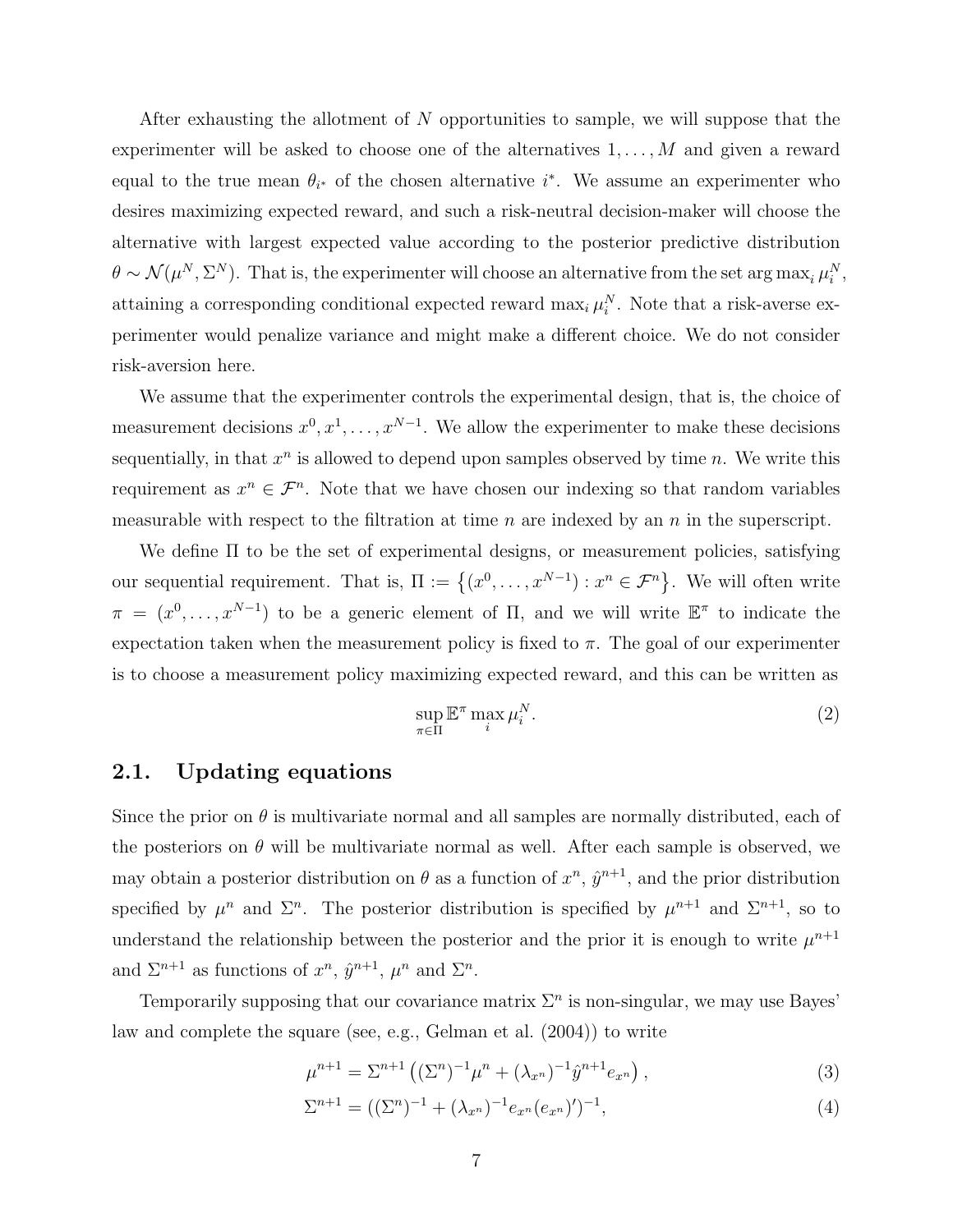After exhausting the allotment of N opportunities to sample, we will suppose that the experimenter will be asked to choose one of the alternatives  $1, \ldots, M$  and given a reward equal to the true mean  $\theta_{i^*}$  of the chosen alternative  $i^*$ . We assume an experimenter who desires maximizing expected reward, and such a risk-neutral decision-maker will choose the alternative with largest expected value according to the posterior predictive distribution  $\theta \sim \mathcal{N}(\mu^N, \Sigma^N)$ . That is, the experimenter will choose an alternative from the set arg max<sub>i</sub>  $\mu_i^N$ , attaining a corresponding conditional expected reward  $\max_i \mu_i^N$ . Note that a risk-averse experimenter would penalize variance and might make a different choice. We do not consider risk-aversion here.

We assume that the experimenter controls the experimental design, that is, the choice of measurement decisions  $x^0, x^1, \ldots, x^{N-1}$ . We allow the experimenter to make these decisions sequentially, in that  $x^n$  is allowed to depend upon samples observed by time n. We write this requirement as  $x^n \in \mathcal{F}^n$ . Note that we have chosen our indexing so that random variables measurable with respect to the filtration at time  $n$  are indexed by an  $n$  in the superscript.

We define Π to be the set of experimental designs, or measurement policies, satisfying our sequential requirement. That is,  $\Pi := \{(x^0, \ldots, x^{N-1}) : x^n \in \mathcal{F}^n\}$ . We will often write  $\pi = (x^0, \ldots, x^{N-1})$  to be a generic element of  $\Pi$ , and we will write  $\mathbb{E}^{\pi}$  to indicate the expectation taken when the measurement policy is fixed to  $\pi$ . The goal of our experimenter is to choose a measurement policy maximizing expected reward, and this can be written as

$$
\sup_{\pi \in \Pi} \mathbb{E}^{\pi} \max_{i} \mu_i^N. \tag{2}
$$

#### 2.1. Updating equations

Since the prior on  $\theta$  is multivariate normal and all samples are normally distributed, each of the posteriors on  $\theta$  will be multivariate normal as well. After each sample is observed, we may obtain a posterior distribution on  $\theta$  as a function of  $x^n$ ,  $\hat{y}^{n+1}$ , and the prior distribution specified by  $\mu^n$  and  $\Sigma^n$ . The posterior distribution is specified by  $\mu^{n+1}$  and  $\Sigma^{n+1}$ , so to understand the relationship between the posterior and the prior it is enough to write  $\mu^{n+1}$ and  $\Sigma^{n+1}$  as functions of  $x^n$ ,  $\hat{y}^{n+1}$ ,  $\mu^n$  and  $\Sigma^n$ .

Temporarily supposing that our covariance matrix  $\Sigma<sup>n</sup>$  is non-singular, we may use Bayes' law and complete the square (see, e.g., Gelman et al. (2004)) to write

$$
\mu^{n+1} = \Sigma^{n+1} \left( (\Sigma^n)^{-1} \mu^n + (\lambda_{x^n})^{-1} \hat{y}^{n+1} e_{x^n} \right), \tag{3}
$$

$$
\Sigma^{n+1} = ((\Sigma^n)^{-1} + (\lambda_{x^n})^{-1} e_{x^n} (e_{x^n})')^{-1},
$$
\n(4)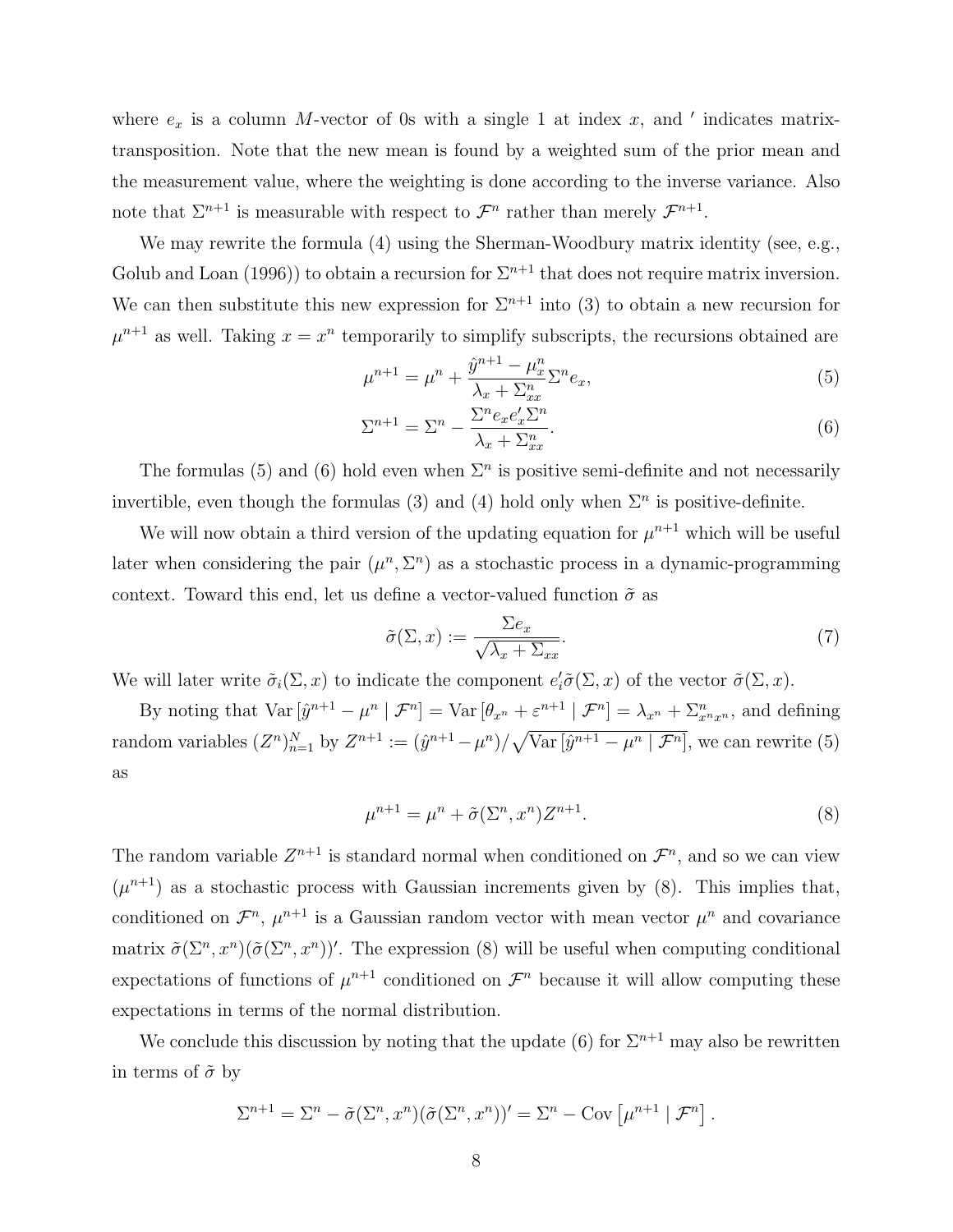where  $e_x$  is a column M-vector of 0s with a single 1 at index x, and ' indicates matrixtransposition. Note that the new mean is found by a weighted sum of the prior mean and the measurement value, where the weighting is done according to the inverse variance. Also note that  $\Sigma^{n+1}$  is measurable with respect to  $\mathcal{F}^n$  rather than merely  $\mathcal{F}^{n+1}$ .

We may rewrite the formula (4) using the Sherman-Woodbury matrix identity (see, e.g., Golub and Loan (1996)) to obtain a recursion for  $\Sigma^{n+1}$  that does not require matrix inversion. We can then substitute this new expression for  $\Sigma^{n+1}$  into (3) to obtain a new recursion for  $\mu^{n+1}$  as well. Taking  $x = x^n$  temporarily to simplify subscripts, the recursions obtained are

$$
\mu^{n+1} = \mu^n + \frac{\hat{y}^{n+1} - \mu_x^n}{\lambda_x + \Sigma_{xx}^n} \Sigma^n e_x,
$$
\n(5)

$$
\Sigma^{n+1} = \Sigma^n - \frac{\Sigma^n e_x e_x' \Sigma^n}{\lambda_x + \Sigma^n_{xx}}.\tag{6}
$$

The formulas (5) and (6) hold even when  $\Sigma<sup>n</sup>$  is positive semi-definite and not necessarily invertible, even though the formulas (3) and (4) hold only when  $\Sigma<sup>n</sup>$  is positive-definite.

We will now obtain a third version of the updating equation for  $\mu^{n+1}$  which will be useful later when considering the pair  $(\mu^n, \Sigma^n)$  as a stochastic process in a dynamic-programming context. Toward this end, let us define a vector-valued function  $\tilde{\sigma}$  as

$$
\tilde{\sigma}(\Sigma, x) := \frac{\Sigma e_x}{\sqrt{\lambda_x + \Sigma_{xx}}}.\tag{7}
$$

We will later write  $\tilde{\sigma}_i(\Sigma, x)$  to indicate the component  $e_i^{\prime} \tilde{\sigma}(\Sigma, x)$  of the vector  $\tilde{\sigma}(\Sigma, x)$ .

By noting that  $\text{Var}\left[\hat{y}^{n+1} - \mu^n \mid \mathcal{F}^n\right] = \text{Var}\left[\theta_{x^n} + \varepsilon^{n+1} \mid \mathcal{F}^n\right] = \lambda_{x^n} + \Sigma_{x^n x^n}^n$ , and defining random variables  $(Z^n)_{n=1}^N$  by  $Z^{n+1} := (\hat{y}^{n+1} - \mu^n) / \sqrt{\text{Var}[\hat{y}^{n+1} - \mu^n | \mathcal{F}^n]}$ , we can rewrite (5) as

$$
\mu^{n+1} = \mu^n + \tilde{\sigma}(\Sigma^n, x^n) Z^{n+1}.
$$
\n
$$
(8)
$$

The random variable  $Z^{n+1}$  is standard normal when conditioned on  $\mathcal{F}^n$ , and so we can view  $(\mu^{n+1})$  as a stochastic process with Gaussian increments given by (8). This implies that, conditioned on  $\mathcal{F}^n$ ,  $\mu^{n+1}$  is a Gaussian random vector with mean vector  $\mu^n$  and covariance matrix  $\tilde{\sigma}(\Sigma^n, x^n)(\tilde{\sigma}(\Sigma^n, x^n))'$ . The expression (8) will be useful when computing conditional expectations of functions of  $\mu^{n+1}$  conditioned on  $\mathcal{F}^n$  because it will allow computing these expectations in terms of the normal distribution.

We conclude this discussion by noting that the update (6) for  $\Sigma^{n+1}$  may also be rewritten in terms of  $\tilde{\sigma}$  by

$$
\Sigma^{n+1} = \Sigma^n - \tilde{\sigma}(\Sigma^n, x^n)(\tilde{\sigma}(\Sigma^n, x^n))' = \Sigma^n - \text{Cov}\left[\mu^{n+1} | \mathcal{F}^n\right].
$$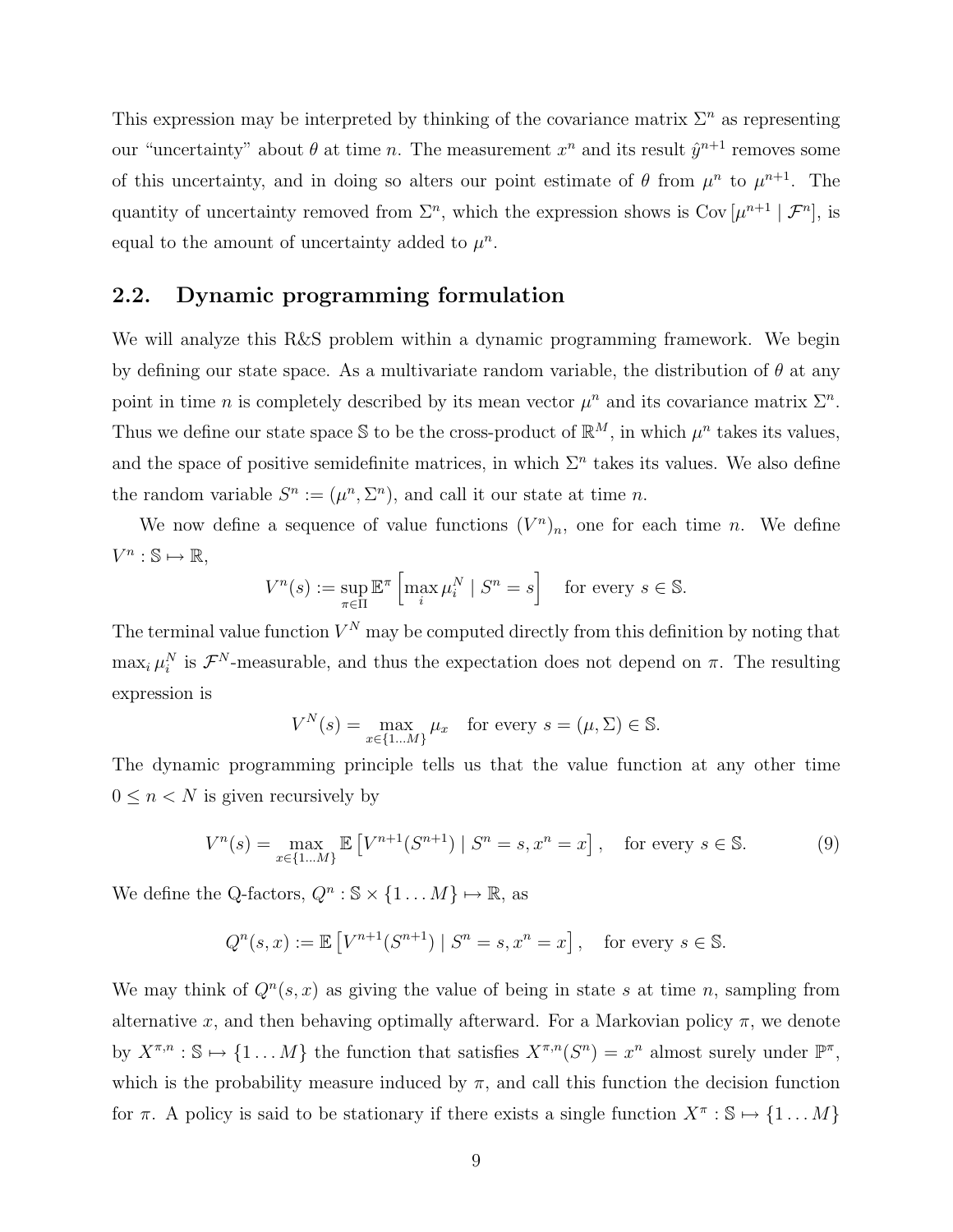This expression may be interpreted by thinking of the covariance matrix  $\Sigma^n$  as representing our "uncertainty" about  $\theta$  at time n. The measurement  $x^n$  and its result  $\hat{y}^{n+1}$  removes some of this uncertainty, and in doing so alters our point estimate of  $\theta$  from  $\mu^n$  to  $\mu^{n+1}$ . The quantity of uncertainty removed from  $\Sigma<sup>n</sup>$ , which the expression shows is Cov  $[\mu^{n+1} | \mathcal{F}<sup>n</sup>]$ , is equal to the amount of uncertainty added to  $\mu^n$ .

#### 2.2. Dynamic programming formulation

We will analyze this R&S problem within a dynamic programming framework. We begin by defining our state space. As a multivariate random variable, the distribution of  $\theta$  at any point in time *n* is completely described by its mean vector  $\mu^n$  and its covariance matrix  $\Sigma^n$ . Thus we define our state space S to be the cross-product of  $\mathbb{R}^M$ , in which  $\mu^n$  takes its values, and the space of positive semidefinite matrices, in which  $\Sigma<sup>n</sup>$  takes its values. We also define the random variable  $S^n := (\mu^n, \Sigma^n)$ , and call it our state at time n.

We now define a sequence of value functions  $(V^n)_n$ , one for each time n. We define  $V^n : \mathbb{S} \mapsto \mathbb{R},$ 

$$
V^{n}(s) := \sup_{\pi \in \Pi} \mathbb{E}^{\pi} \left[ \max_{i} \mu_{i}^{N} \mid S^{n} = s \right] \quad \text{for every } s \in \mathbb{S}.
$$

The terminal value function  $V^N$  may be computed directly from this definition by noting that  $\max_i \mu_i^N$  is  $\mathcal{F}^N$ -measurable, and thus the expectation does not depend on  $\pi$ . The resulting expression is

$$
V^N(s) = \max_{x \in \{1...M\}} \mu_x \quad \text{for every } s = (\mu, \Sigma) \in \mathbb{S}.
$$

The dynamic programming principle tells us that the value function at any other time  $0\leq n < N$  is given recursively by

$$
V^{n}(s) = \max_{x \in \{1...M\}} \mathbb{E}\left[V^{n+1}(S^{n+1}) \mid S^{n} = s, x^{n} = x\right], \quad \text{for every } s \in \mathbb{S}.
$$
 (9)

We define the Q-factors,  $Q^n : \mathbb{S} \times \{1 \dots M\} \mapsto \mathbb{R}$ , as

$$
Q^{n}(s,x) := \mathbb{E}\left[V^{n+1}(S^{n+1}) \mid S^{n} = s, x^{n} = x\right], \text{ for every } s \in \mathbb{S}.
$$

We may think of  $Q^n(s, x)$  as giving the value of being in state s at time n, sampling from alternative x, and then behaving optimally afterward. For a Markovian policy  $\pi$ , we denote by  $X^{\pi,n} : \mathbb{S} \mapsto \{1 \dots M\}$  the function that satisfies  $X^{\pi,n}(S^n) = x^n$  almost surely under  $\mathbb{P}^{\pi}$ , which is the probability measure induced by  $\pi$ , and call this function the decision function for  $\pi$ . A policy is said to be stationary if there exists a single function  $X^{\pi} : \mathbb{S} \mapsto \{1 \dots M\}$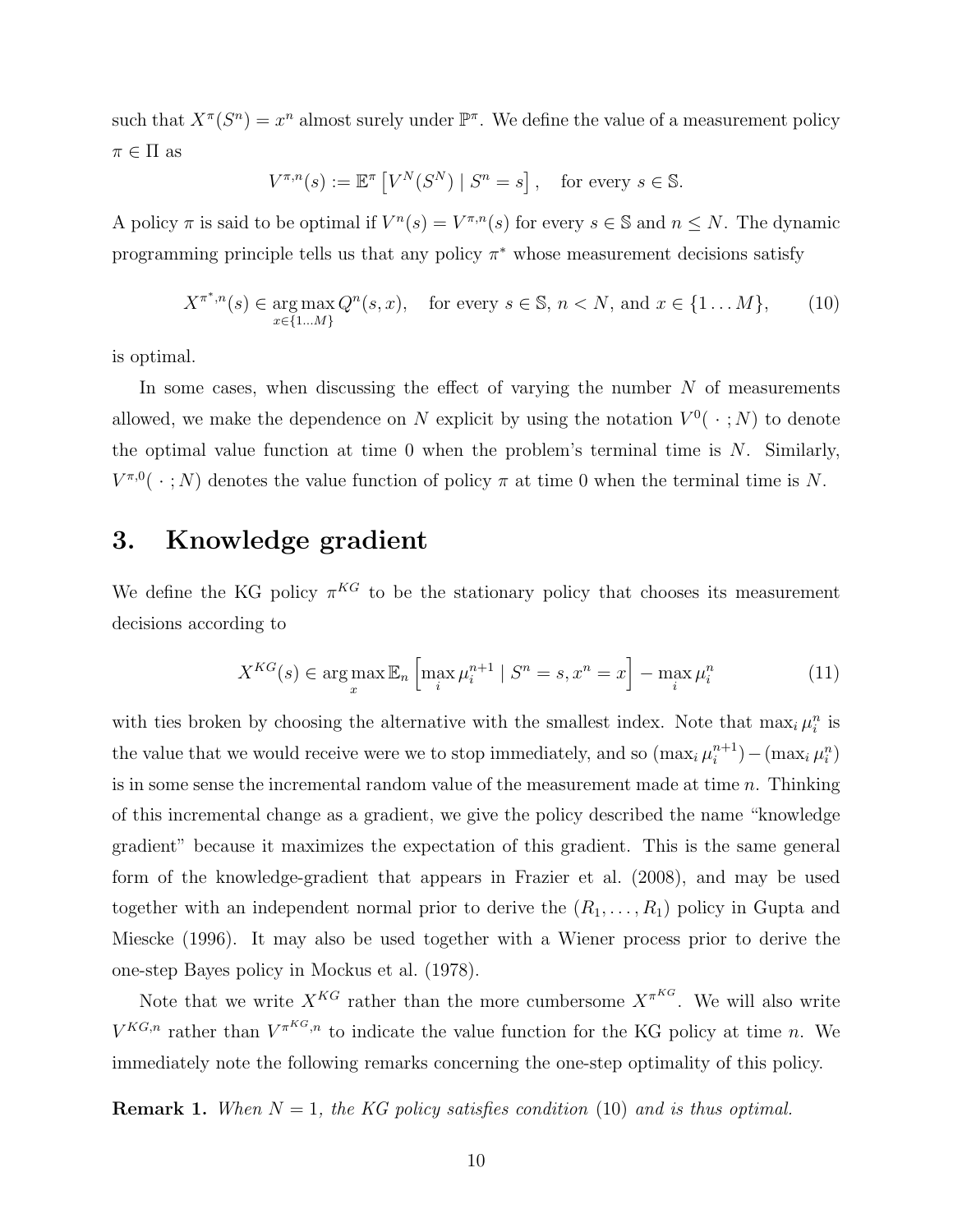such that  $X^{\pi}(S^n) = x^n$  almost surely under  $\mathbb{P}^{\pi}$ . We define the value of a measurement policy  $\pi \in \Pi$  as

$$
V^{\pi,n}(s) := \mathbb{E}^{\pi} \left[ V^N(S^N) \mid S^n = s \right], \text{ for every } s \in \mathbb{S}.
$$

A policy  $\pi$  is said to be optimal if  $V^{n}(s) = V^{\pi,n}(s)$  for every  $s \in \mathbb{S}$  and  $n \leq N$ . The dynamic programming principle tells us that any policy  $\pi^*$  whose measurement decisions satisfy

$$
X^{\pi^*,n}(s) \in \underset{x \in \{1...M\}}{\arg \max} Q^n(s, x), \quad \text{for every } s \in \mathbb{S}, n < N, \text{ and } x \in \{1...M\}, \tag{10}
$$

is optimal.

In some cases, when discussing the effect of varying the number  $N$  of measurements allowed, we make the dependence on N explicit by using the notation  $V^0(\cdot; N)$  to denote the optimal value function at time  $0$  when the problem's terminal time is  $N$ . Similarly,  $V^{\pi,0}(\cdot;N)$  denotes the value function of policy  $\pi$  at time 0 when the terminal time is N.

## 3. Knowledge gradient

We define the KG policy  $\pi^{KG}$  to be the stationary policy that chooses its measurement decisions according to

$$
X^{KG}(s) \in \arg\max_{x} \mathbb{E}_n \left[ \max_i \mu_i^{n+1} \mid S^n = s, x^n = x \right] - \max_i \mu_i^n \tag{11}
$$

with ties broken by choosing the alternative with the smallest index. Note that  $\max_i \mu_i^n$  is the value that we would receive were we to stop immediately, and so  $(\max_i \mu_i^{n+1})$  $\binom{n+1}{i} - (\max_i \mu_i^n)$ is in some sense the incremental random value of the measurement made at time  $n$ . Thinking of this incremental change as a gradient, we give the policy described the name "knowledge gradient" because it maximizes the expectation of this gradient. This is the same general form of the knowledge-gradient that appears in Frazier et al. (2008), and may be used together with an independent normal prior to derive the  $(R_1, \ldots, R_1)$  policy in Gupta and Miescke (1996). It may also be used together with a Wiener process prior to derive the one-step Bayes policy in Mockus et al. (1978).

Note that we write  $X^{KG}$  rather than the more cumbersome  $X^{\pi^{KG}}$ . We will also write  $V^{KG,n}$  rather than  $V^{\pi^{KG},n}$  to indicate the value function for the KG policy at time n. We immediately note the following remarks concerning the one-step optimality of this policy.

**Remark 1.** When  $N = 1$ , the KG policy satisfies condition (10) and is thus optimal.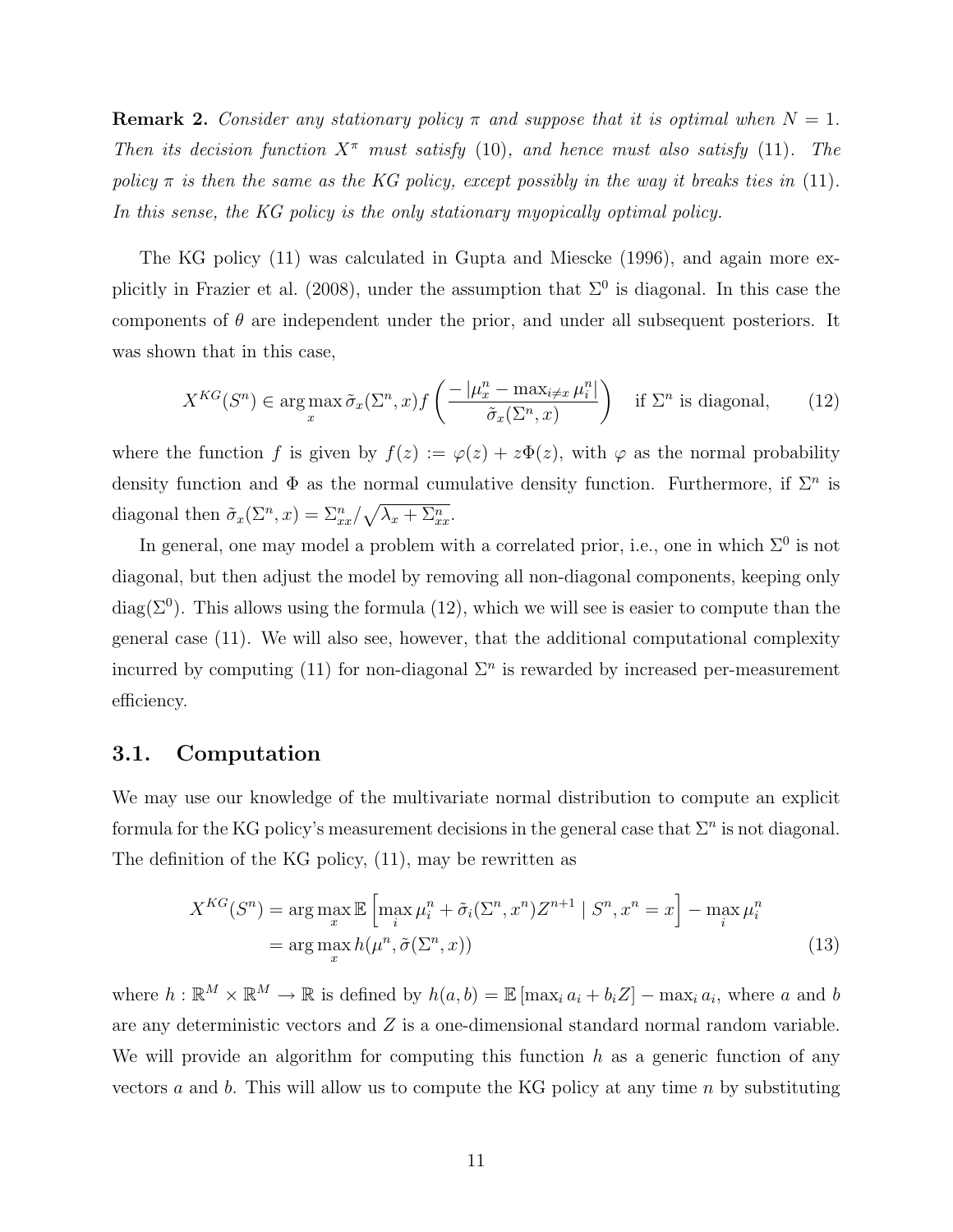**Remark 2.** Consider any stationary policy  $\pi$  and suppose that it is optimal when  $N = 1$ . Then its decision function  $X^{\pi}$  must satisfy (10), and hence must also satisfy (11). The policy  $\pi$  is then the same as the KG policy, except possibly in the way it breaks ties in (11). In this sense, the KG policy is the only stationary myopically optimal policy.

The KG policy (11) was calculated in Gupta and Miescke (1996), and again more explicitly in Frazier et al. (2008), under the assumption that  $\Sigma^0$  is diagonal. In this case the components of  $\theta$  are independent under the prior, and under all subsequent posteriors. It was shown that in this case,

$$
X^{KG}(S^n) \in \arg\max_{x} \tilde{\sigma}_x(\Sigma^n, x) f\left(\frac{-|\mu^n_x - \max_{i \neq x} \mu^n_i|}{\tilde{\sigma}_x(\Sigma^n, x)}\right) \quad \text{if } \Sigma^n \text{ is diagonal}, \tag{12}
$$

where the function f is given by  $f(z) := \varphi(z) + z\Phi(z)$ , with  $\varphi$  as the normal probability density function and  $\Phi$  as the normal cumulative density function. Furthermore, if  $\Sigma^n$  is diagonal then  $\tilde{\sigma}_x(\Sigma^n, x) = \sum_{xx}^n / \sqrt{\lambda_x + \Sigma_{xx}^n}$ .

In general, one may model a problem with a correlated prior, i.e., one in which  $\Sigma^0$  is not diagonal, but then adjust the model by removing all non-diagonal components, keeping only diag( $\Sigma^0$ ). This allows using the formula (12), which we will see is easier to compute than the general case (11). We will also see, however, that the additional computational complexity incurred by computing (11) for non-diagonal  $\Sigma<sup>n</sup>$  is rewarded by increased per-measurement efficiency.

#### 3.1. Computation

We may use our knowledge of the multivariate normal distribution to compute an explicit formula for the KG policy's measurement decisions in the general case that  $\Sigma^n$  is not diagonal. The definition of the KG policy, (11), may be rewritten as

$$
X^{KG}(S^n) = \arg\max_{x} \mathbb{E}\left[\max_{i} \mu_i^n + \tilde{\sigma}_i(\Sigma^n, x^n) Z^{n+1} \mid S^n, x^n = x\right] - \max_{i} \mu_i^n
$$
  
= 
$$
\arg\max_{x} h(\mu^n, \tilde{\sigma}(\Sigma^n, x))
$$
 (13)

where  $h: \mathbb{R}^M \times \mathbb{R}^M \to \mathbb{R}$  is defined by  $h(a, b) = \mathbb{E} [\max_i a_i + b_i Z] - \max_i a_i$ , where a and b are any deterministic vectors and  $Z$  is a one-dimensional standard normal random variable. We will provide an algorithm for computing this function  $h$  as a generic function of any vectors  $a$  and  $b$ . This will allow us to compute the KG policy at any time  $n$  by substituting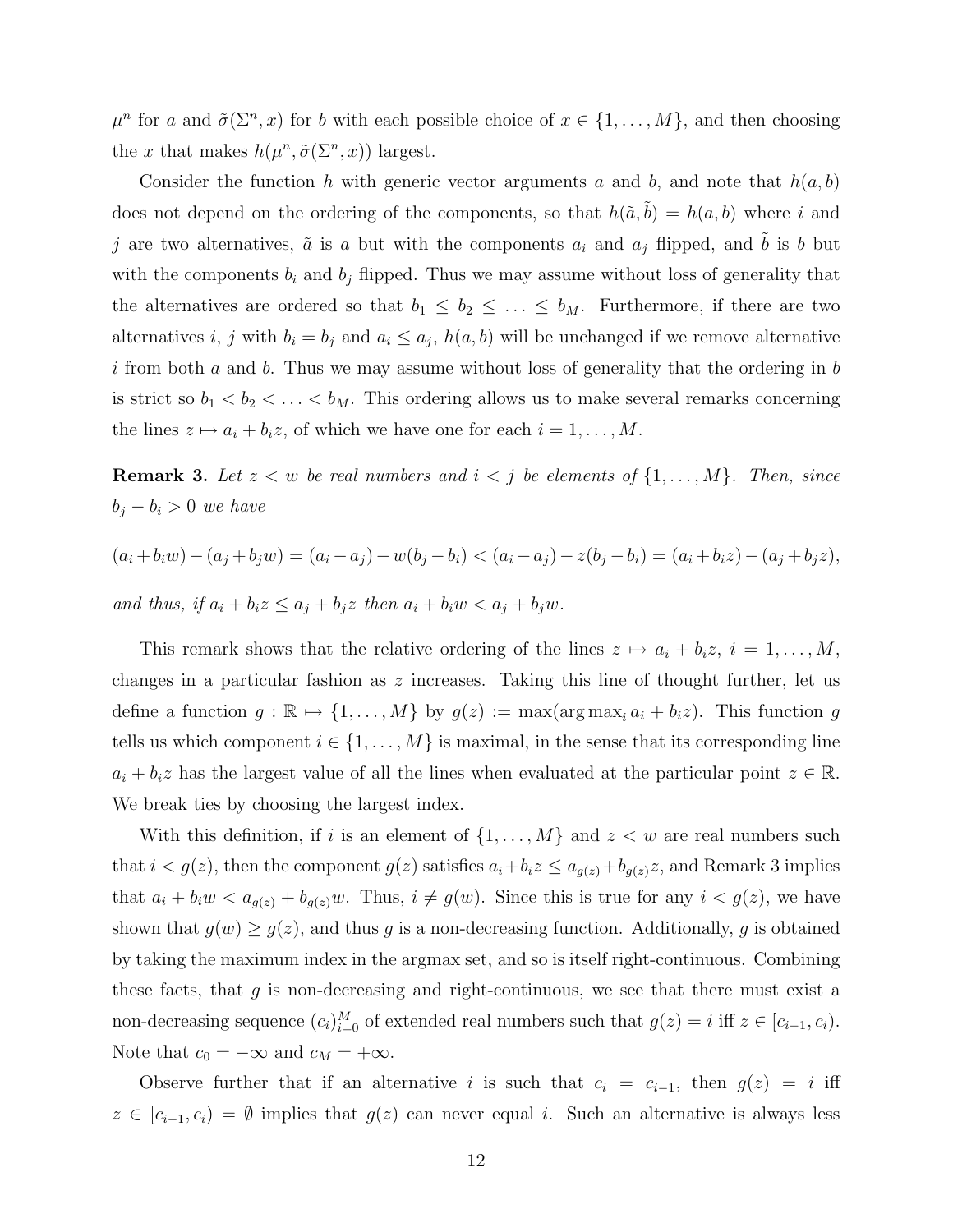$\mu^n$  for a and  $\tilde{\sigma}(\Sigma^n, x)$  for b with each possible choice of  $x \in \{1, \ldots, M\}$ , and then choosing the x that makes  $h(\mu^n, \tilde{\sigma}(\Sigma^n, x))$  largest.

Consider the function h with generic vector arguments a and b, and note that  $h(a, b)$ does not depend on the ordering of the components, so that  $h(\tilde{a}, \tilde{b}) = h(a, b)$  where i and j are two alternatives,  $\tilde{a}$  is a but with the components  $a_i$  and  $a_j$  flipped, and  $\tilde{b}$  is b but with the components  $b_i$  and  $b_j$  flipped. Thus we may assume without loss of generality that the alternatives are ordered so that  $b_1 \leq b_2 \leq \ldots \leq b_M$ . Furthermore, if there are two alternatives i, j with  $b_i = b_j$  and  $a_i \leq a_j$ ,  $h(a, b)$  will be unchanged if we remove alternative i from both a and b. Thus we may assume without loss of generality that the ordering in b is strict so  $b_1 < b_2 < \ldots < b_M$ . This ordering allows us to make several remarks concerning the lines  $z \mapsto a_i + b_i z$ , of which we have one for each  $i = 1, ..., M$ .

**Remark 3.** Let  $z < w$  be real numbers and  $i < j$  be elements of  $\{1, \ldots, M\}$ . Then, since  $b_j - b_i > 0$  we have

$$
(a_i + b_i w) - (a_j + b_j w) = (a_i - a_j) - w(b_j - b_i) < (a_i - a_j) - z(b_j - b_i) = (a_i + b_i z) - (a_j + b_j z),
$$

and thus, if  $a_i + b_i z \le a_j + b_j z$  then  $a_i + b_i w < a_j + b_j w$ .

This remark shows that the relative ordering of the lines  $z \mapsto a_i + b_i z, i = 1, ..., M$ , changes in a particular fashion as z increases. Taking this line of thought further, let us define a function  $g : \mathbb{R} \mapsto \{1, ..., M\}$  by  $g(z) := \max(\arg \max_i a_i + b_i z)$ . This function g tells us which component  $i \in \{1, \ldots, M\}$  is maximal, in the sense that its corresponding line  $a_i + b_i z$  has the largest value of all the lines when evaluated at the particular point  $z \in \mathbb{R}$ . We break ties by choosing the largest index.

With this definition, if i is an element of  $\{1, \ldots, M\}$  and  $z \leq w$  are real numbers such that  $i < g(z)$ , then the component  $g(z)$  satisfies  $a_i + b_i z \le a_{g(z)} + b_{g(z)} z$ , and Remark 3 implies that  $a_i + b_i w < a_{g(z)} + b_{g(z)} w$ . Thus,  $i \neq g(w)$ . Since this is true for any  $i < g(z)$ , we have shown that  $g(w) \ge g(z)$ , and thus g is a non-decreasing function. Additionally, g is obtained by taking the maximum index in the argmax set, and so is itself right-continuous. Combining these facts, that  $g$  is non-decreasing and right-continuous, we see that there must exist a non-decreasing sequence  $(c_i)_{i=0}^M$  of extended real numbers such that  $g(z) = i$  iff  $z \in [c_{i-1}, c_i)$ . Note that  $c_0 = -\infty$  and  $c_M = +\infty$ .

Observe further that if an alternative i is such that  $c_i = c_{i-1}$ , then  $g(z) = i$  iff  $z \in [c_{i-1}, c_i] = \emptyset$  implies that  $g(z)$  can never equal i. Such an alternative is always less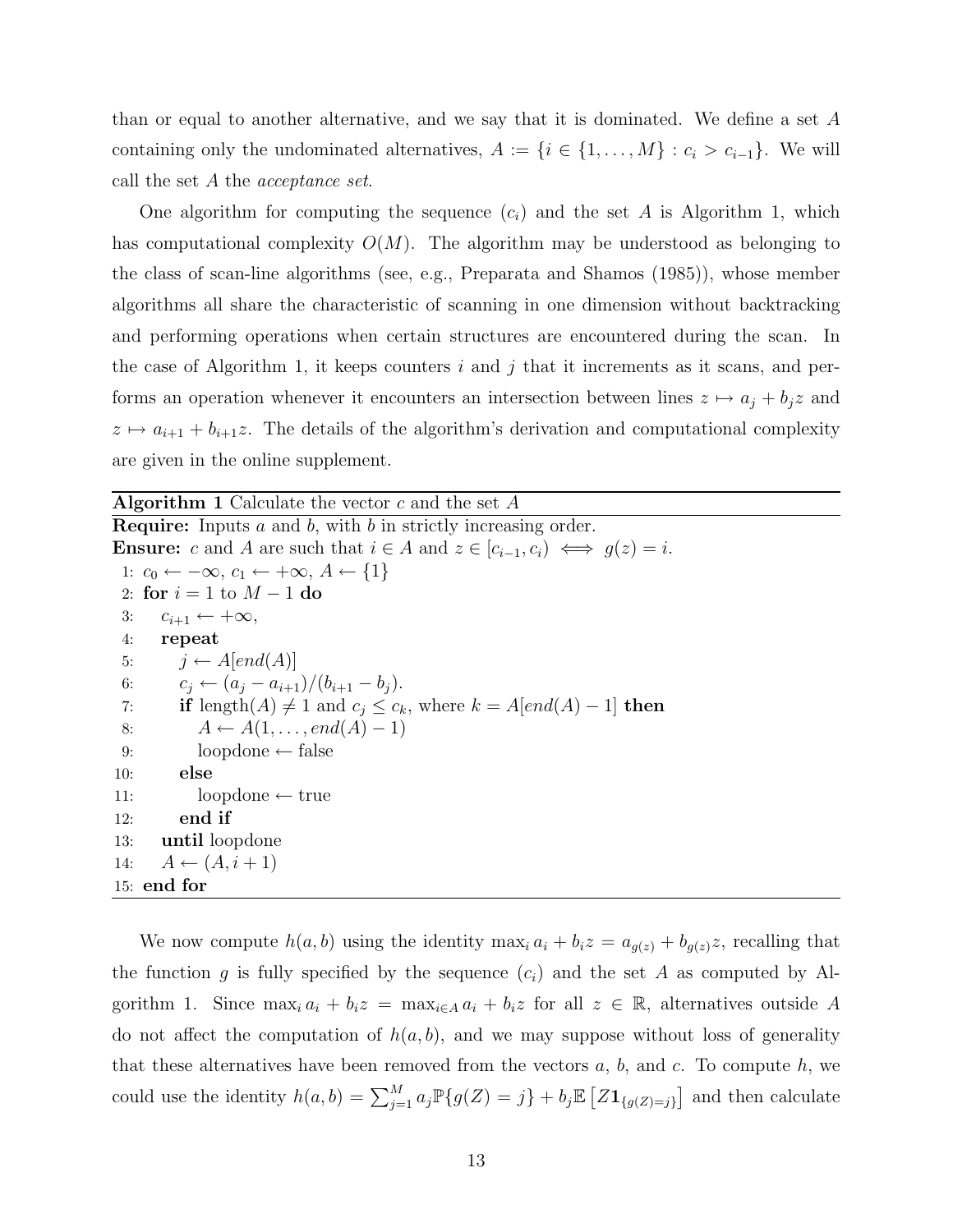than or equal to another alternative, and we say that it is dominated. We define a set A containing only the undominated alternatives,  $A := \{i \in \{1, ..., M\} : c_i > c_{i-1}\}.$  We will call the set A the acceptance set.

One algorithm for computing the sequence  $(c_i)$  and the set A is Algorithm 1, which has computational complexity  $O(M)$ . The algorithm may be understood as belonging to the class of scan-line algorithms (see, e.g., Preparata and Shamos (1985)), whose member algorithms all share the characteristic of scanning in one dimension without backtracking and performing operations when certain structures are encountered during the scan. In the case of Algorithm 1, it keeps counters  $i$  and  $j$  that it increments as it scans, and performs an operation whenever it encounters an intersection between lines  $z \mapsto a_j + b_j z$  and  $z \mapsto a_{i+1} + b_{i+1}z$ . The details of the algorithm's derivation and computational complexity are given in the online supplement.

**Algorithm 1** Calculate the vector  $c$  and the set  $A$ **Require:** Inputs  $a$  and  $b$ , with  $b$  in strictly increasing order. **Ensure:** c and A are such that  $i \in A$  and  $z \in [c_{i-1}, c_i) \iff g(z) = i$ . 1:  $c_0 \leftarrow -\infty$ ,  $c_1 \leftarrow +\infty$ ,  $A \leftarrow \{1\}$ 2: for  $i = 1$  to  $M - 1$  do 3:  $c_{i+1} \leftarrow +\infty$ , 4: repeat 5:  $i \leftarrow A[end(A)]$ 6:  $c_j \leftarrow (a_j - a_{i+1})/(b_{i+1} - b_j).$ 7: **if** length $(A) \neq 1$  and  $c_j \leq c_k$ , where  $k = A[end(A) - 1]$  then 8:  $A \leftarrow A(1, \ldots, end(A) - 1)$ 9: loopdone ← false 10: else 11: loopdone ← true 12: end if 13: until loopdone 14:  $A \leftarrow (A, i + 1)$ 15: end for

We now compute  $h(a, b)$  using the identity max<sub>i</sub>  $a_i + b_i z = a_{g(z)} + b_{g(z)}z$ , recalling that the function g is fully specified by the sequence  $(c_i)$  and the set A as computed by Algorithm 1. Since  $\max_i a_i + b_i z = \max_{i \in A} a_i + b_i z$  for all  $z \in \mathbb{R}$ , alternatives outside A do not affect the computation of  $h(a, b)$ , and we may suppose without loss of generality that these alternatives have been removed from the vectors  $a, b$ , and  $c$ . To compute  $h$ , we could use the identity  $h(a, b) = \sum_{j=1}^{M} a_j \mathbb{P}\{g(Z) = j\} + b_j \mathbb{E}\left[Z\mathbf{1}_{\{g(Z) = j\}}\right]$  and then calculate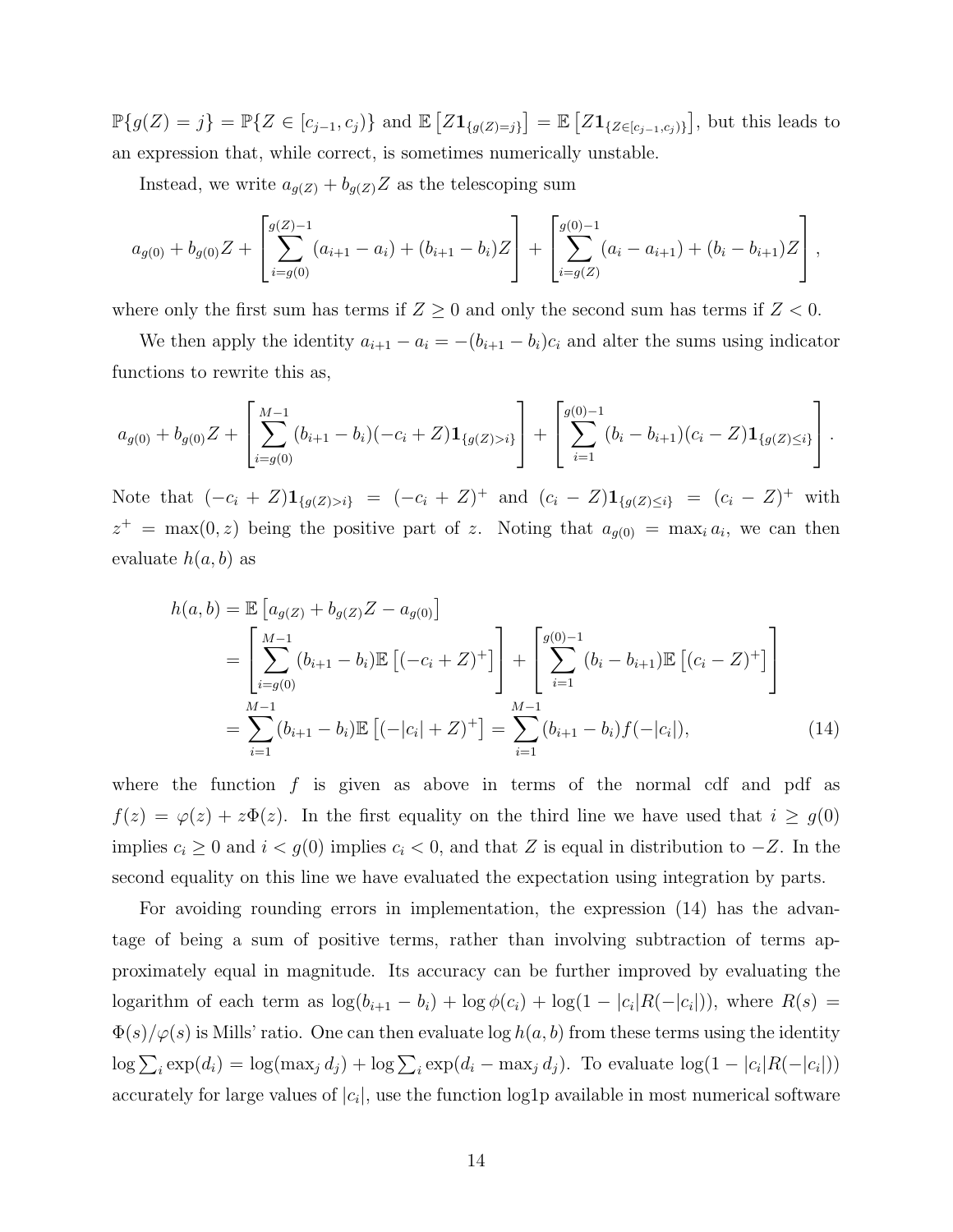$\mathbb{P}\{g(Z)=j\} = \mathbb{P}\{Z \in [c_{j-1}, c_j)\}\$  and  $\mathbb{E}\left[Z\mathbf{1}_{\{g(Z)=j\}}\right] = \mathbb{E}\left[Z\mathbf{1}_{\{Z \in [c_{j-1}, c_j)\}}\right]$ , but this leads to an expression that, while correct, is sometimes numerically unstable.

Instead, we write  $a_{g(Z)} + b_{g(Z)}Z$  as the telescoping sum

$$
a_{g(0)} + b_{g(0)}Z + \left[\sum_{i=g(0)}^{g(Z)-1} (a_{i+1} - a_i) + (b_{i+1} - b_i)Z\right] + \left[\sum_{i=g(Z)}^{g(0)-1} (a_i - a_{i+1}) + (b_i - b_{i+1})Z\right],
$$

where only the first sum has terms if  $Z \geq 0$  and only the second sum has terms if  $Z < 0$ .

We then apply the identity  $a_{i+1} - a_i = -(b_{i+1} - b_i)c_i$  and alter the sums using indicator functions to rewrite this as,

$$
a_{g(0)} + b_{g(0)}Z + \left[\sum_{i=g(0)}^{M-1} (b_{i+1} - b_i)(-c_i + Z)\mathbf{1}_{\{g(Z) > i\}}\right] + \left[\sum_{i=1}^{g(0)-1} (b_i - b_{i+1})(c_i - Z)\mathbf{1}_{\{g(Z) \leq i\}}\right].
$$

Note that  $(-c_i + Z)1_{\{g(Z) > i\}} = (-c_i + Z)^+$  and  $(c_i - Z)1_{\{g(Z) \leq i\}} = (c_i - Z)^+$  with  $z^+$  = max $(0, z)$  being the positive part of z. Noting that  $a_{g(0)}$  = max<sub>i</sub>  $a_i$ , we can then evaluate  $h(a, b)$  as

$$
h(a,b) = \mathbb{E}\left[a_{g(Z)} + b_{g(Z)}Z - a_{g(0)}\right]
$$
  
= 
$$
\left[\sum_{i=g(0)}^{M-1} (b_{i+1} - b_i)\mathbb{E}\left[(-c_i + Z)^+\right]\right] + \left[\sum_{i=1}^{g(0)-1} (b_i - b_{i+1})\mathbb{E}\left[(c_i - Z)^+\right]\right]
$$
  
= 
$$
\sum_{i=1}^{M-1} (b_{i+1} - b_i)\mathbb{E}\left[(-|c_i| + Z)^+\right] = \sum_{i=1}^{M-1} (b_{i+1} - b_i)f(-|c_i|),
$$
 (14)

where the function  $f$  is given as above in terms of the normal cdf and pdf as  $f(z) = \varphi(z) + z\Phi(z)$ . In the first equality on the third line we have used that  $i \ge g(0)$ implies  $c_i \geq 0$  and  $i < g(0)$  implies  $c_i < 0$ , and that Z is equal in distribution to  $-Z$ . In the second equality on this line we have evaluated the expectation using integration by parts.

For avoiding rounding errors in implementation, the expression (14) has the advantage of being a sum of positive terms, rather than involving subtraction of terms approximately equal in magnitude. Its accuracy can be further improved by evaluating the logarithm of each term as  $\log(b_{i+1} - b_i) + \log \phi(c_i) + \log(1 - |c_i|R(-|c_i|)),$  where  $R(s) =$  $\Phi(s)/\varphi(s)$  is Mills' ratio. One can then evaluate log  $h(a, b)$  from these terms using the identity  $\log \sum_i \exp(d_i) = \log(\max_j d_j) + \log \sum_i \exp(d_i - \max_j d_j)$ . To evaluate  $\log(1 - |c_i| R(-|c_i|))$ accurately for large values of  $|c_i|$ , use the function log1p available in most numerical software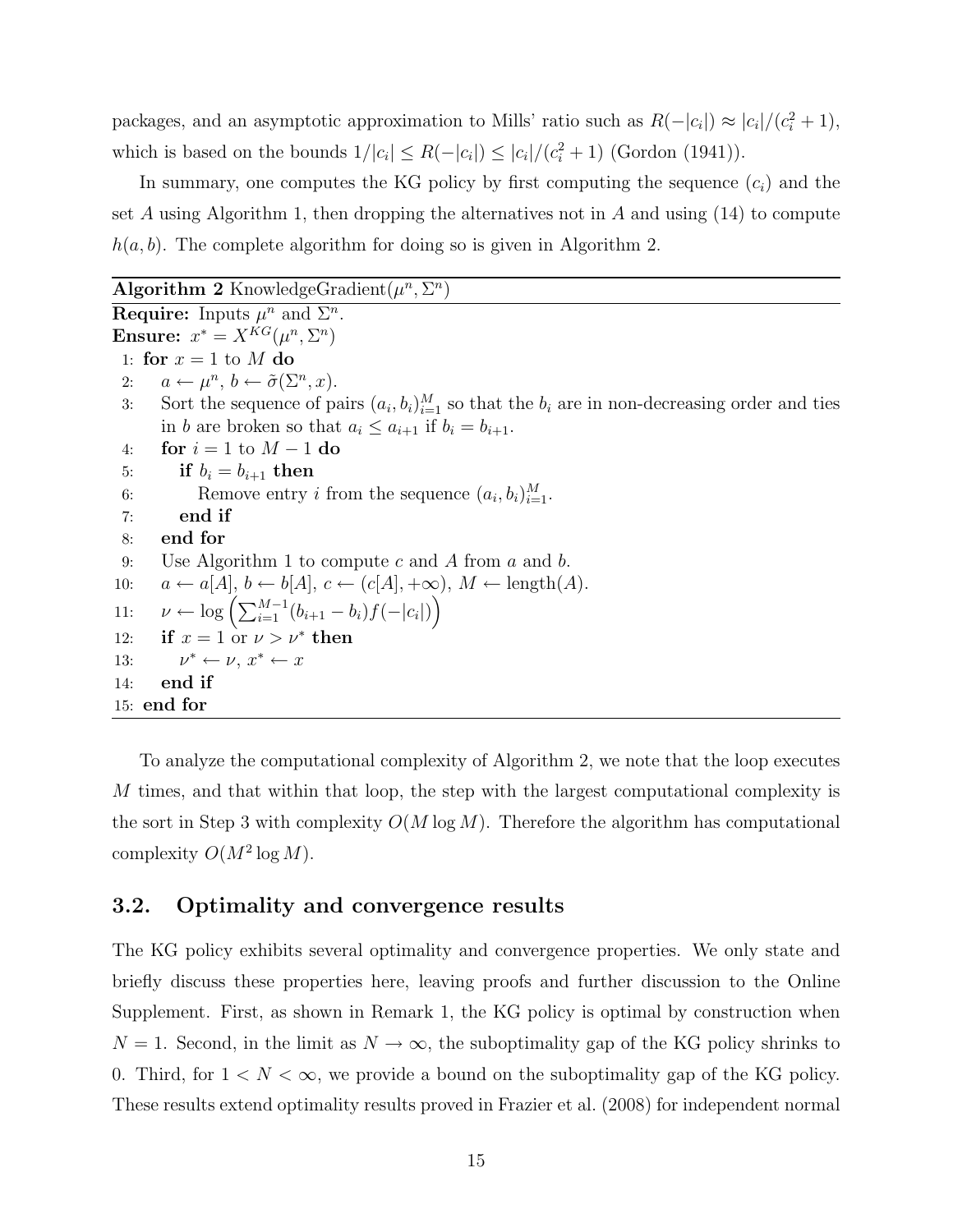packages, and an asymptotic approximation to Mills' ratio such as  $R(-|c_i|) \approx |c_i|/(c_i^2 + 1)$ , which is based on the bounds  $1/|c_i| \leq R(-|c_i|) \leq |c_i|/(c_i^2+1)$  (Gordon (1941)).

In summary, one computes the KG policy by first computing the sequence  $(c_i)$  and the set A using Algorithm 1, then dropping the alternatives not in A and using  $(14)$  to compute  $h(a, b)$ . The complete algorithm for doing so is given in Algorithm 2.

#### Algorithm 2 KnowledgeGradient $(\mu^n, \Sigma^n)$

**Require:** Inputs  $\mu^n$  and  $\Sigma^n$ . Ensure:  $x^* = X^{KG}(\mu^n, \Sigma^n)$ 1: for  $x = 1$  to M do 2:  $a \leftarrow \mu^n, b \leftarrow \tilde{\sigma}(\Sigma^n, x).$ 3: Sort the sequence of pairs  $(a_i, b_i)_{i=1}^M$  so that the  $b_i$  are in non-decreasing order and ties in b are broken so that  $a_i \leq a_{i+1}$  if  $b_i = b_{i+1}$ . 4: **for**  $i = 1$  to  $M - 1$  do 5: if  $b_i = b_{i+1}$  then 6: Remove entry *i* from the sequence  $(a_i, b_i)_{i=1}^M$ . 7: end if 8: end for 9: Use Algorithm 1 to compute c and A from a and b. 10:  $a \leftarrow a[A], b \leftarrow b[A], c \leftarrow (c[A], +\infty), M \leftarrow \text{length}(A).$ 11:  $\nu \leftarrow \log \left( \sum_{i=1}^{M-1} (b_{i+1} - b_i) f(-|c_i|) \right)$ 12: if  $x = 1$  or  $\nu > \nu^*$  then 13: \* ←  $\nu, x^*$  ←  $x$ 14: end if 15: end for

To analyze the computational complexity of Algorithm 2, we note that the loop executes  $M$  times, and that within that loop, the step with the largest computational complexity is the sort in Step 3 with complexity  $O(M \log M)$ . Therefore the algorithm has computational complexity  $O(M^2 \log M)$ .

#### 3.2. Optimality and convergence results

The KG policy exhibits several optimality and convergence properties. We only state and briefly discuss these properties here, leaving proofs and further discussion to the Online Supplement. First, as shown in Remark 1, the KG policy is optimal by construction when  $N = 1$ . Second, in the limit as  $N \to \infty$ , the suboptimality gap of the KG policy shrinks to 0. Third, for  $1 < N < \infty$ , we provide a bound on the suboptimality gap of the KG policy. These results extend optimality results proved in Frazier et al. (2008) for independent normal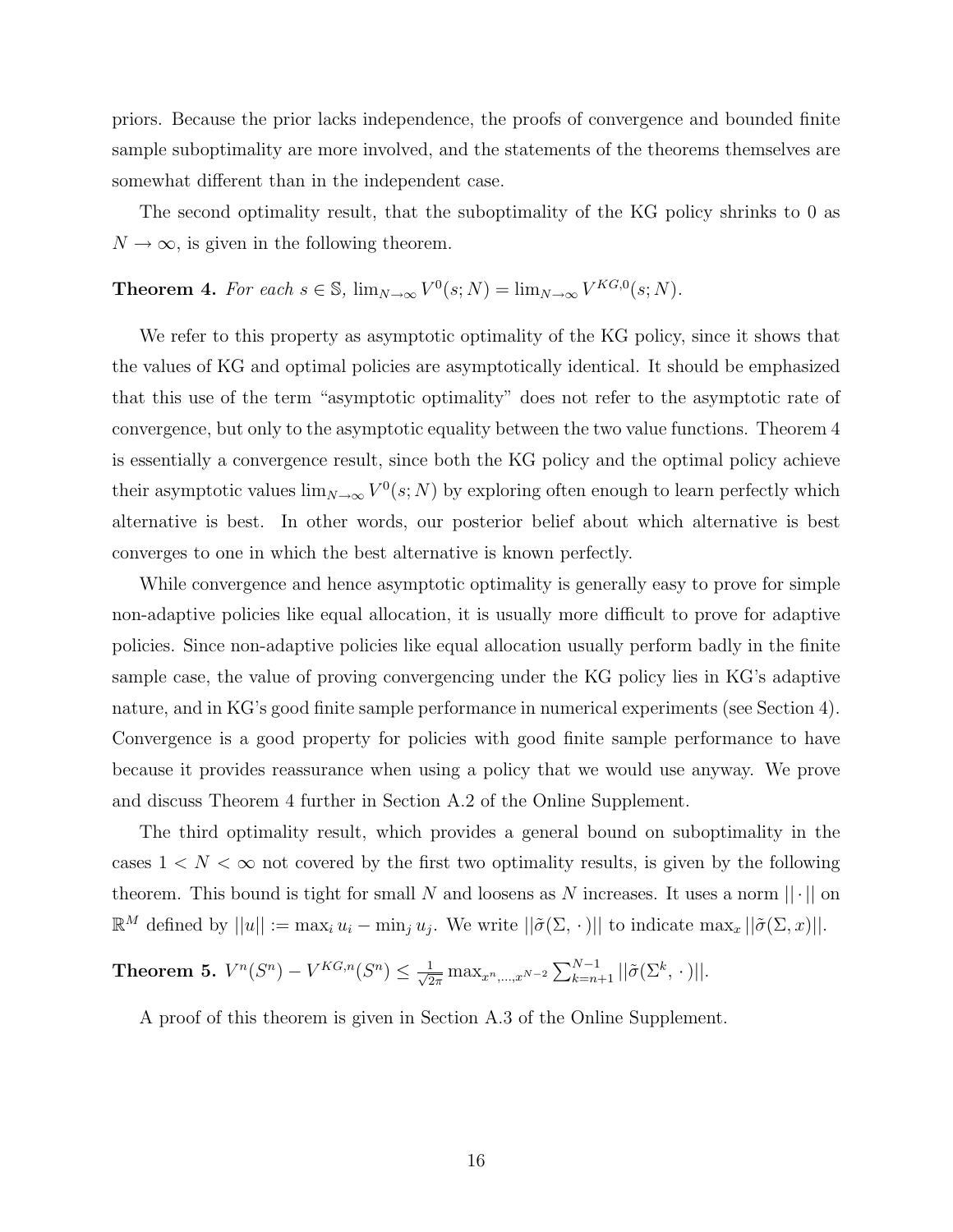priors. Because the prior lacks independence, the proofs of convergence and bounded finite sample suboptimality are more involved, and the statements of the theorems themselves are somewhat different than in the independent case.

The second optimality result, that the suboptimality of the KG policy shrinks to 0 as  $N \to \infty$ , is given in the following theorem.

**Theorem 4.** For each  $s \in \mathbb{S}$ ,  $\lim_{N \to \infty} V^0(s; N) = \lim_{N \to \infty} V^{KG,0}(s; N)$ .

We refer to this property as asymptotic optimality of the KG policy, since it shows that the values of KG and optimal policies are asymptotically identical. It should be emphasized that this use of the term "asymptotic optimality" does not refer to the asymptotic rate of convergence, but only to the asymptotic equality between the two value functions. Theorem 4 is essentially a convergence result, since both the KG policy and the optimal policy achieve their asymptotic values  $\lim_{N\to\infty} V^0(s;N)$  by exploring often enough to learn perfectly which alternative is best. In other words, our posterior belief about which alternative is best converges to one in which the best alternative is known perfectly.

While convergence and hence asymptotic optimality is generally easy to prove for simple non-adaptive policies like equal allocation, it is usually more difficult to prove for adaptive policies. Since non-adaptive policies like equal allocation usually perform badly in the finite sample case, the value of proving convergencing under the KG policy lies in KG's adaptive nature, and in KG's good finite sample performance in numerical experiments (see Section 4). Convergence is a good property for policies with good finite sample performance to have because it provides reassurance when using a policy that we would use anyway. We prove and discuss Theorem 4 further in Section A.2 of the Online Supplement.

The third optimality result, which provides a general bound on suboptimality in the cases  $1 < N < \infty$  not covered by the first two optimality results, is given by the following theorem. This bound is tight for small N and loosens as N increases. It uses a norm  $|| \cdot ||$  on  $\mathbb{R}^M$  defined by  $||u|| := \max_i u_i - \min_j u_j$ . We write  $||\tilde{\sigma}(\Sigma, \cdot)||$  to indicate  $\max_x ||\tilde{\sigma}(\Sigma, x)||$ .

**Theorem 5.** 
$$
V^n(S^n) - V^{KG,n}(S^n) \leq \frac{1}{\sqrt{2\pi}} \max_{x^n, ..., x^{N-2}} \sum_{k=n+1}^{N-1} ||\tilde{\sigma}(\Sigma^k, \cdot)||
$$
.

A proof of this theorem is given in Section A.3 of the Online Supplement.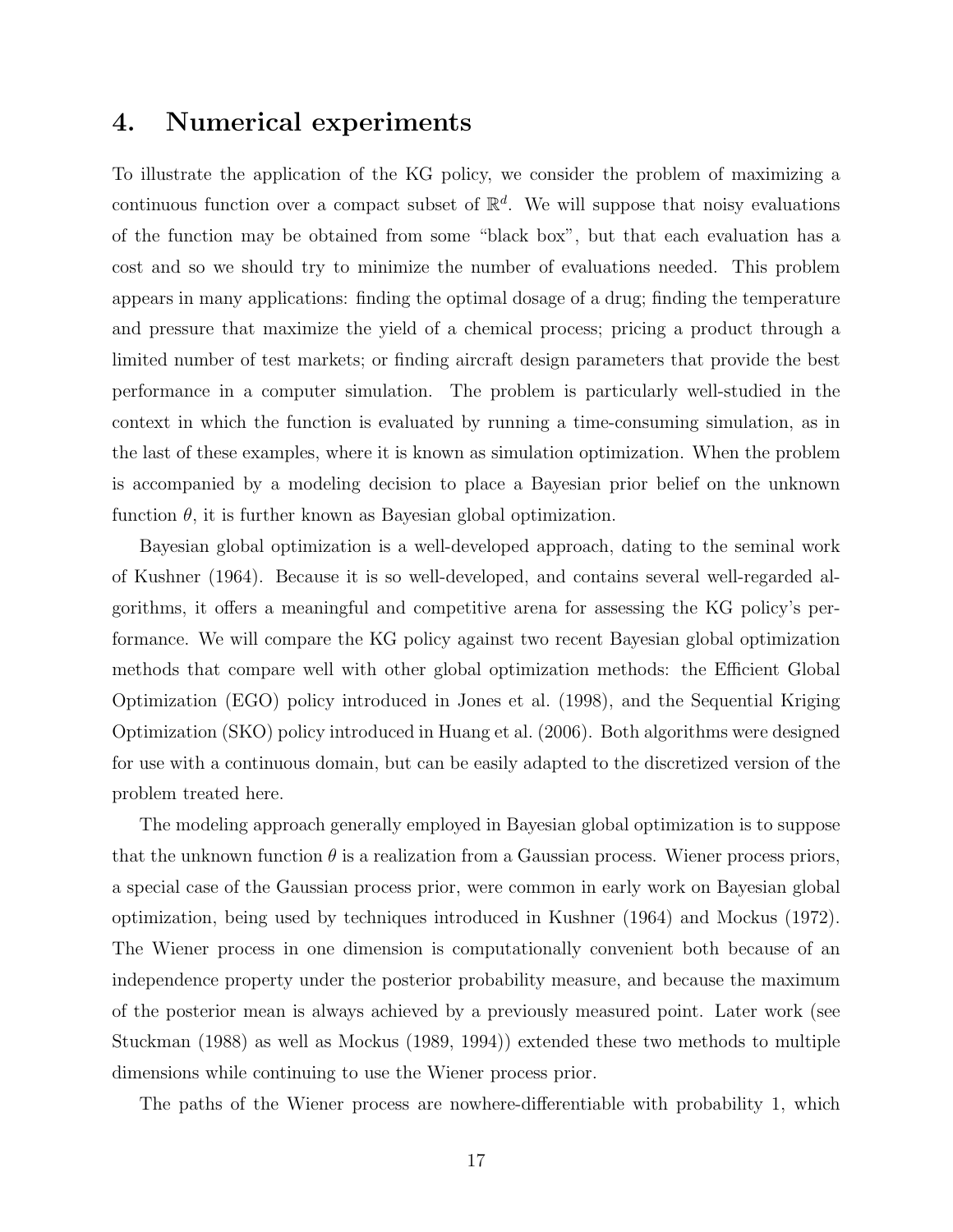### 4. Numerical experiments

To illustrate the application of the KG policy, we consider the problem of maximizing a continuous function over a compact subset of  $\mathbb{R}^d$ . We will suppose that noisy evaluations of the function may be obtained from some "black box", but that each evaluation has a cost and so we should try to minimize the number of evaluations needed. This problem appears in many applications: finding the optimal dosage of a drug; finding the temperature and pressure that maximize the yield of a chemical process; pricing a product through a limited number of test markets; or finding aircraft design parameters that provide the best performance in a computer simulation. The problem is particularly well-studied in the context in which the function is evaluated by running a time-consuming simulation, as in the last of these examples, where it is known as simulation optimization. When the problem is accompanied by a modeling decision to place a Bayesian prior belief on the unknown function  $\theta$ , it is further known as Bayesian global optimization.

Bayesian global optimization is a well-developed approach, dating to the seminal work of Kushner (1964). Because it is so well-developed, and contains several well-regarded algorithms, it offers a meaningful and competitive arena for assessing the KG policy's performance. We will compare the KG policy against two recent Bayesian global optimization methods that compare well with other global optimization methods: the Efficient Global Optimization (EGO) policy introduced in Jones et al. (1998), and the Sequential Kriging Optimization (SKO) policy introduced in Huang et al. (2006). Both algorithms were designed for use with a continuous domain, but can be easily adapted to the discretized version of the problem treated here.

The modeling approach generally employed in Bayesian global optimization is to suppose that the unknown function  $\theta$  is a realization from a Gaussian process. Wiener process priors, a special case of the Gaussian process prior, were common in early work on Bayesian global optimization, being used by techniques introduced in Kushner (1964) and Mockus (1972). The Wiener process in one dimension is computationally convenient both because of an independence property under the posterior probability measure, and because the maximum of the posterior mean is always achieved by a previously measured point. Later work (see Stuckman (1988) as well as Mockus (1989, 1994)) extended these two methods to multiple dimensions while continuing to use the Wiener process prior.

The paths of the Wiener process are nowhere-differentiable with probability 1, which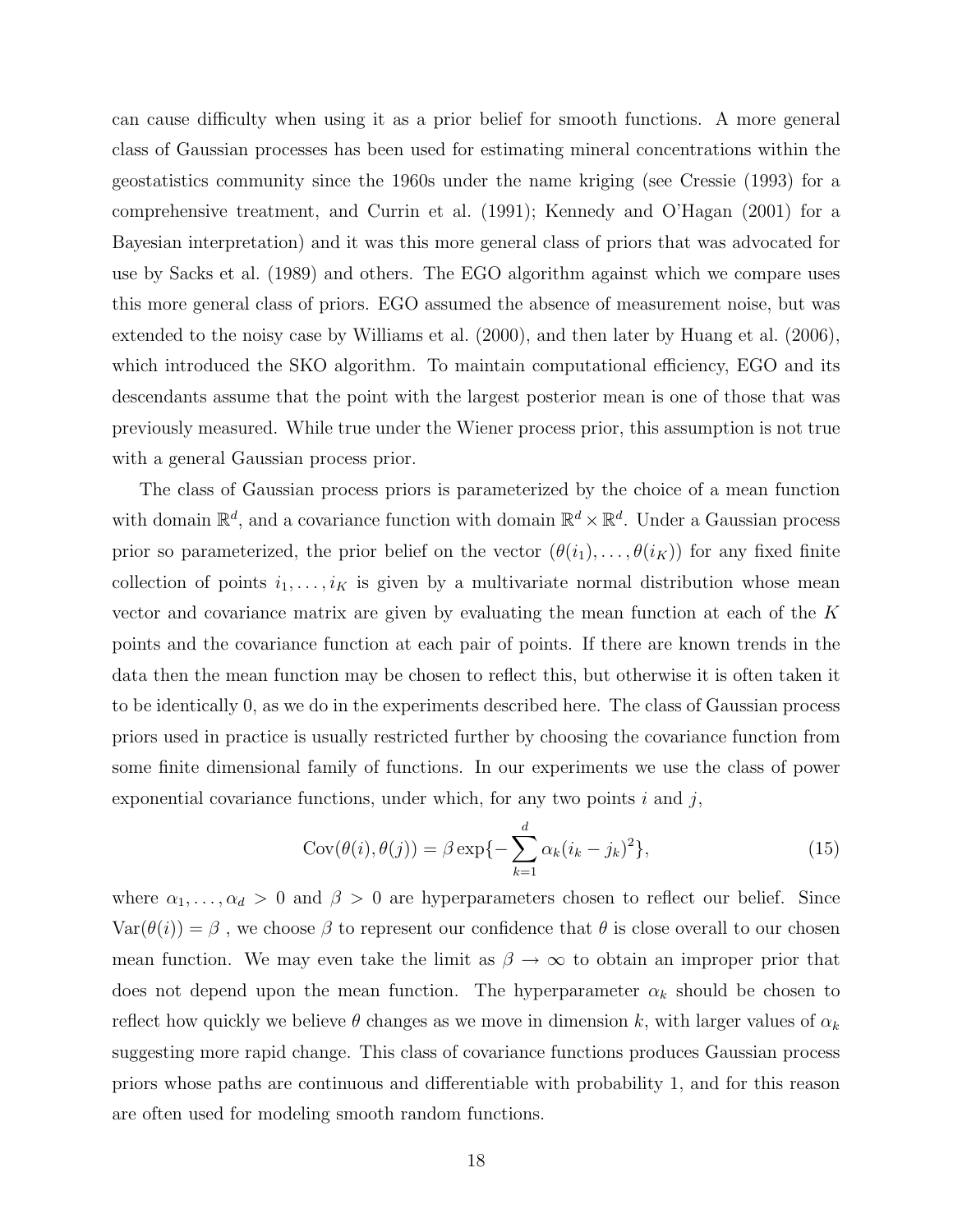can cause difficulty when using it as a prior belief for smooth functions. A more general class of Gaussian processes has been used for estimating mineral concentrations within the geostatistics community since the 1960s under the name kriging (see Cressie (1993) for a comprehensive treatment, and Currin et al. (1991); Kennedy and O'Hagan (2001) for a Bayesian interpretation) and it was this more general class of priors that was advocated for use by Sacks et al. (1989) and others. The EGO algorithm against which we compare uses this more general class of priors. EGO assumed the absence of measurement noise, but was extended to the noisy case by Williams et al. (2000), and then later by Huang et al. (2006), which introduced the SKO algorithm. To maintain computational efficiency, EGO and its descendants assume that the point with the largest posterior mean is one of those that was previously measured. While true under the Wiener process prior, this assumption is not true with a general Gaussian process prior.

The class of Gaussian process priors is parameterized by the choice of a mean function with domain  $\mathbb{R}^d$ , and a covariance function with domain  $\mathbb{R}^d \times \mathbb{R}^d$ . Under a Gaussian process prior so parameterized, the prior belief on the vector  $(\theta(i_1), \ldots, \theta(i_K))$  for any fixed finite collection of points  $i_1, \ldots, i_K$  is given by a multivariate normal distribution whose mean vector and covariance matrix are given by evaluating the mean function at each of the K points and the covariance function at each pair of points. If there are known trends in the data then the mean function may be chosen to reflect this, but otherwise it is often taken it to be identically 0, as we do in the experiments described here. The class of Gaussian process priors used in practice is usually restricted further by choosing the covariance function from some finite dimensional family of functions. In our experiments we use the class of power exponential covariance functions, under which, for any two points  $i$  and  $j$ ,

$$
Cov(\theta(i), \theta(j)) = \beta \exp\{-\sum_{k=1}^{d} \alpha_k (i_k - j_k)^2\},\tag{15}
$$

where  $\alpha_1, \ldots, \alpha_d > 0$  and  $\beta > 0$  are hyperparameters chosen to reflect our belief. Since  $Var(\theta(i)) = \beta$ , we choose  $\beta$  to represent our confidence that  $\theta$  is close overall to our chosen mean function. We may even take the limit as  $\beta \to \infty$  to obtain an improper prior that does not depend upon the mean function. The hyperparameter  $\alpha_k$  should be chosen to reflect how quickly we believe  $\theta$  changes as we move in dimension k, with larger values of  $\alpha_k$ suggesting more rapid change. This class of covariance functions produces Gaussian process priors whose paths are continuous and differentiable with probability 1, and for this reason are often used for modeling smooth random functions.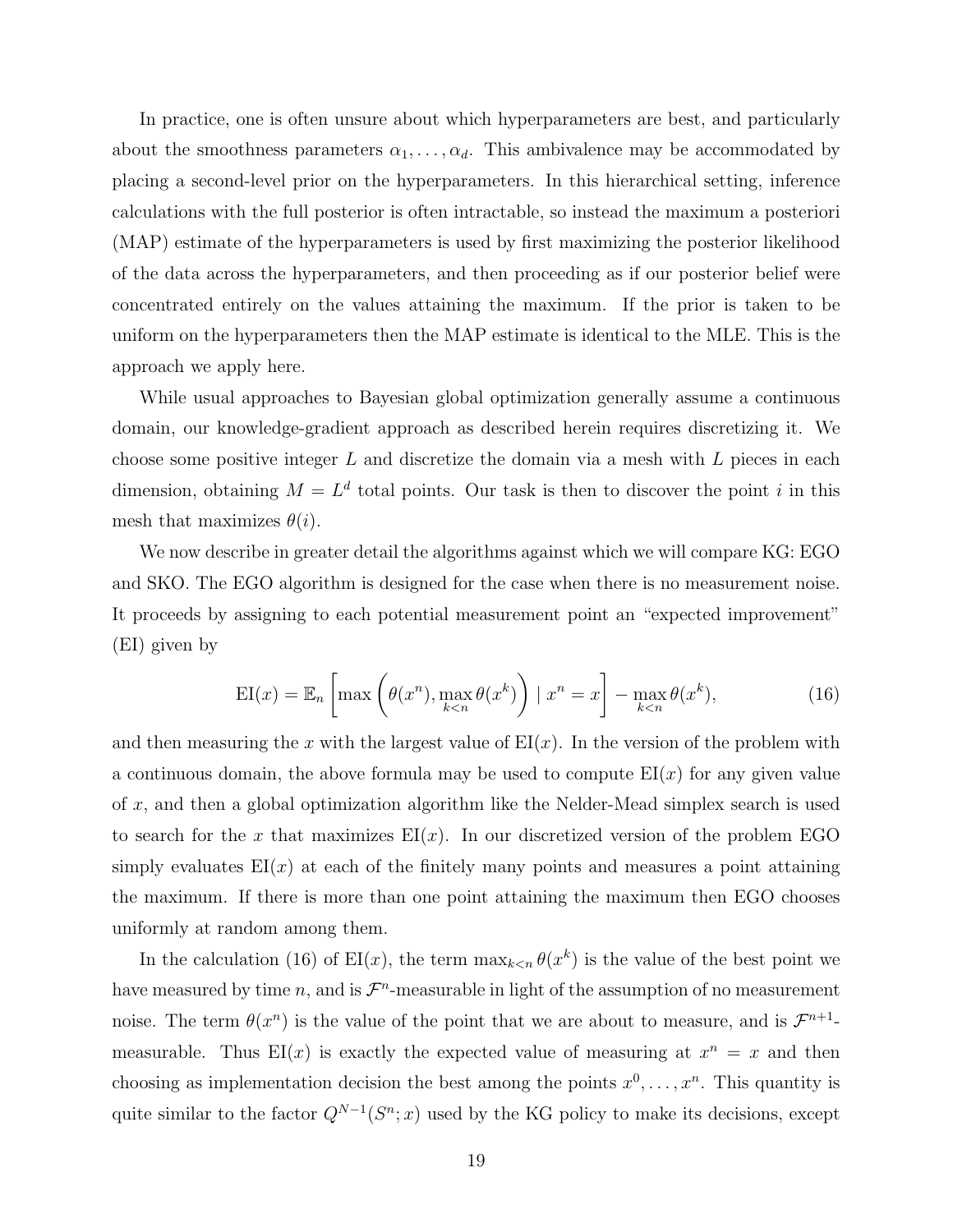In practice, one is often unsure about which hyperparameters are best, and particularly about the smoothness parameters  $\alpha_1, \ldots, \alpha_d$ . This ambivalence may be accommodated by placing a second-level prior on the hyperparameters. In this hierarchical setting, inference calculations with the full posterior is often intractable, so instead the maximum a posteriori (MAP) estimate of the hyperparameters is used by first maximizing the posterior likelihood of the data across the hyperparameters, and then proceeding as if our posterior belief were concentrated entirely on the values attaining the maximum. If the prior is taken to be uniform on the hyperparameters then the MAP estimate is identical to the MLE. This is the approach we apply here.

While usual approaches to Bayesian global optimization generally assume a continuous domain, our knowledge-gradient approach as described herein requires discretizing it. We choose some positive integer  $L$  and discretize the domain via a mesh with  $L$  pieces in each dimension, obtaining  $M = L<sup>d</sup>$  total points. Our task is then to discover the point i in this mesh that maximizes  $\theta(i)$ .

We now describe in greater detail the algorithms against which we will compare KG: EGO and SKO. The EGO algorithm is designed for the case when there is no measurement noise. It proceeds by assigning to each potential measurement point an "expected improvement" (EI) given by

$$
EI(x) = \mathbb{E}_n \left[ \max \left( \theta(x^n), \max_{k < n} \theta(x^k) \right) \mid x^n = x \right] - \max_{k < n} \theta(x^k),\tag{16}
$$

and then measuring the x with the largest value of  $EI(x)$ . In the version of the problem with a continuous domain, the above formula may be used to compute  $EI(x)$  for any given value of x, and then a global optimization algorithm like the Nelder-Mead simplex search is used to search for the x that maximizes  $EI(x)$ . In our discretized version of the problem EGO simply evaluates  $E(x)$  at each of the finitely many points and measures a point attaining the maximum. If there is more than one point attaining the maximum then EGO chooses uniformly at random among them.

In the calculation (16) of  $EI(x)$ , the term  $\max_{k \leq n} \theta(x^k)$  is the value of the best point we have measured by time n, and is  $\mathcal{F}^n$ -measurable in light of the assumption of no measurement noise. The term  $\theta(x^n)$  is the value of the point that we are about to measure, and is  $\mathcal{F}^{n+1}$ measurable. Thus  $EI(x)$  is exactly the expected value of measuring at  $x^n = x$  and then choosing as implementation decision the best among the points  $x^0, \ldots, x^n$ . This quantity is quite similar to the factor  $Q^{N-1}(S^n; x)$  used by the KG policy to make its decisions, except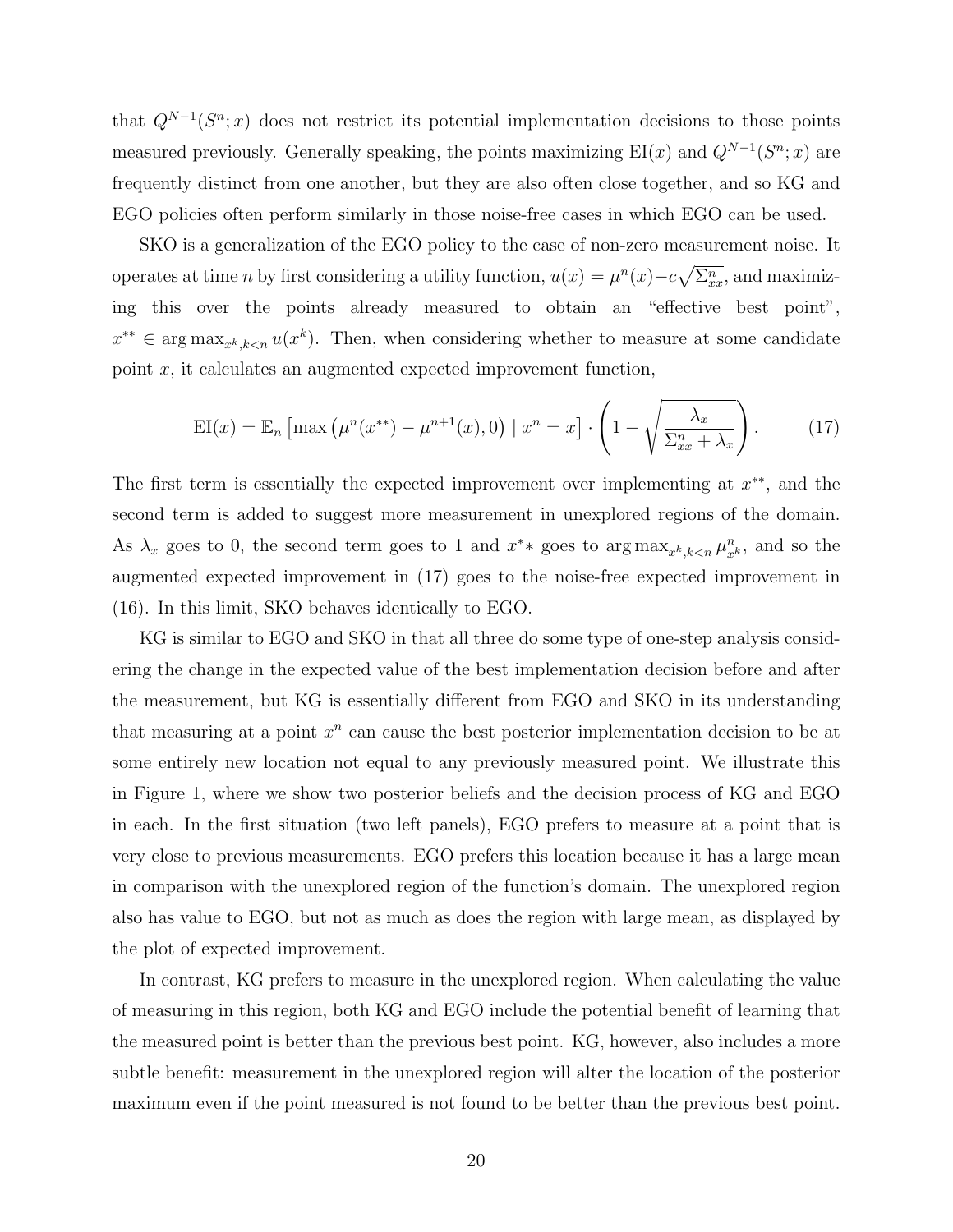that  $Q^{N-1}(S^n; x)$  does not restrict its potential implementation decisions to those points measured previously. Generally speaking, the points maximizing  $EI(x)$  and  $Q^{N-1}(S^n; x)$  are frequently distinct from one another, but they are also often close together, and so KG and EGO policies often perform similarly in those noise-free cases in which EGO can be used.

SKO is a generalization of the EGO policy to the case of non-zero measurement noise. It operates at time *n* by first considering a utility function,  $u(x) = \mu^{n}(x) - c\sqrt{\sum_{x}^{n}}$ , and maximizing this over the points already measured to obtain an "effective best point",  $x^{**} \in \arg \max_{x^k, k < n} u(x^k)$ . Then, when considering whether to measure at some candidate point x, it calculates an augmented expected improvement function,

$$
EI(x) = \mathbb{E}_n \left[ \max \left( \mu^n(x^{**}) - \mu^{n+1}(x), 0 \right) \mid x^n = x \right] \cdot \left( 1 - \sqrt{\frac{\lambda_x}{\Sigma_{xx}^n + \lambda_x}} \right). \tag{17}
$$

The first term is essentially the expected improvement over implementing at  $x^{**}$ , and the second term is added to suggest more measurement in unexplored regions of the domain. As  $\lambda_x$  goes to 0, the second term goes to 1 and  $x^{*}$  goes to  $\arg \max_{x^{k}, k \le n} \mu_{x^{k}}^{n}$ , and so the augmented expected improvement in (17) goes to the noise-free expected improvement in (16). In this limit, SKO behaves identically to EGO.

KG is similar to EGO and SKO in that all three do some type of one-step analysis considering the change in the expected value of the best implementation decision before and after the measurement, but KG is essentially different from EGO and SKO in its understanding that measuring at a point  $x^n$  can cause the best posterior implementation decision to be at some entirely new location not equal to any previously measured point. We illustrate this in Figure 1, where we show two posterior beliefs and the decision process of KG and EGO in each. In the first situation (two left panels), EGO prefers to measure at a point that is very close to previous measurements. EGO prefers this location because it has a large mean in comparison with the unexplored region of the function's domain. The unexplored region also has value to EGO, but not as much as does the region with large mean, as displayed by the plot of expected improvement.

In contrast, KG prefers to measure in the unexplored region. When calculating the value of measuring in this region, both KG and EGO include the potential benefit of learning that the measured point is better than the previous best point. KG, however, also includes a more subtle benefit: measurement in the unexplored region will alter the location of the posterior maximum even if the point measured is not found to be better than the previous best point.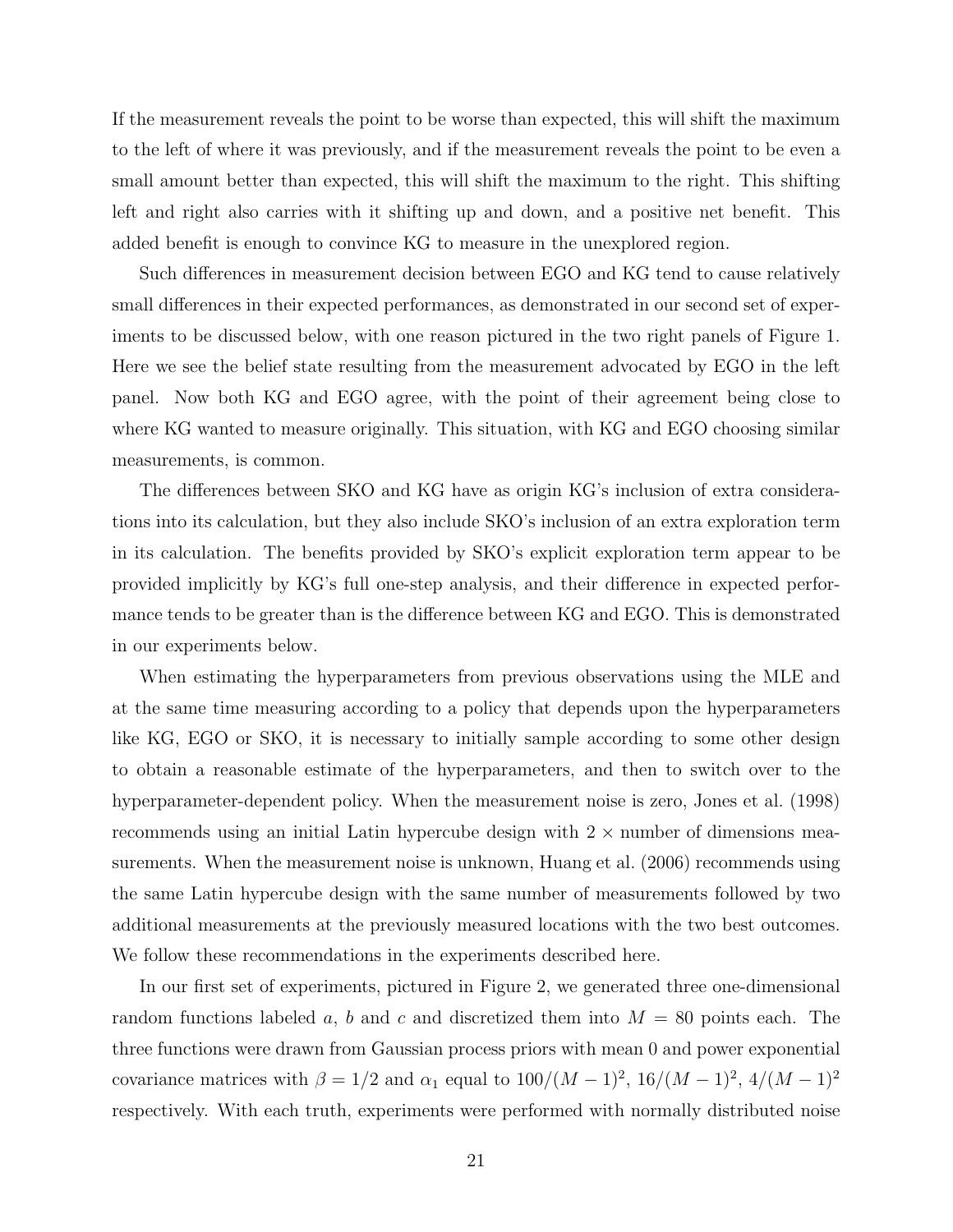If the measurement reveals the point to be worse than expected, this will shift the maximum to the left of where it was previously, and if the measurement reveals the point to be even a small amount better than expected, this will shift the maximum to the right. This shifting left and right also carries with it shifting up and down, and a positive net benefit. This added benefit is enough to convince KG to measure in the unexplored region.

Such differences in measurement decision between EGO and KG tend to cause relatively small differences in their expected performances, as demonstrated in our second set of experiments to be discussed below, with one reason pictured in the two right panels of Figure 1. Here we see the belief state resulting from the measurement advocated by EGO in the left panel. Now both KG and EGO agree, with the point of their agreement being close to where KG wanted to measure originally. This situation, with KG and EGO choosing similar measurements, is common.

The differences between SKO and KG have as origin KG's inclusion of extra considerations into its calculation, but they also include SKO's inclusion of an extra exploration term in its calculation. The benefits provided by SKO's explicit exploration term appear to be provided implicitly by KG's full one-step analysis, and their difference in expected performance tends to be greater than is the difference between KG and EGO. This is demonstrated in our experiments below.

When estimating the hyperparameters from previous observations using the MLE and at the same time measuring according to a policy that depends upon the hyperparameters like KG, EGO or SKO, it is necessary to initially sample according to some other design to obtain a reasonable estimate of the hyperparameters, and then to switch over to the hyperparameter-dependent policy. When the measurement noise is zero, Jones et al. (1998) recommends using an initial Latin hypercube design with  $2 \times$  number of dimensions measurements. When the measurement noise is unknown, Huang et al. (2006) recommends using the same Latin hypercube design with the same number of measurements followed by two additional measurements at the previously measured locations with the two best outcomes. We follow these recommendations in the experiments described here.

In our first set of experiments, pictured in Figure 2, we generated three one-dimensional random functions labeled a, b and c and discretized them into  $M = 80$  points each. The three functions were drawn from Gaussian process priors with mean 0 and power exponential covariance matrices with  $\beta = 1/2$  and  $\alpha_1$  equal to  $100/(M-1)^2$ ,  $16/(M-1)^2$ ,  $4/(M-1)^2$ respectively. With each truth, experiments were performed with normally distributed noise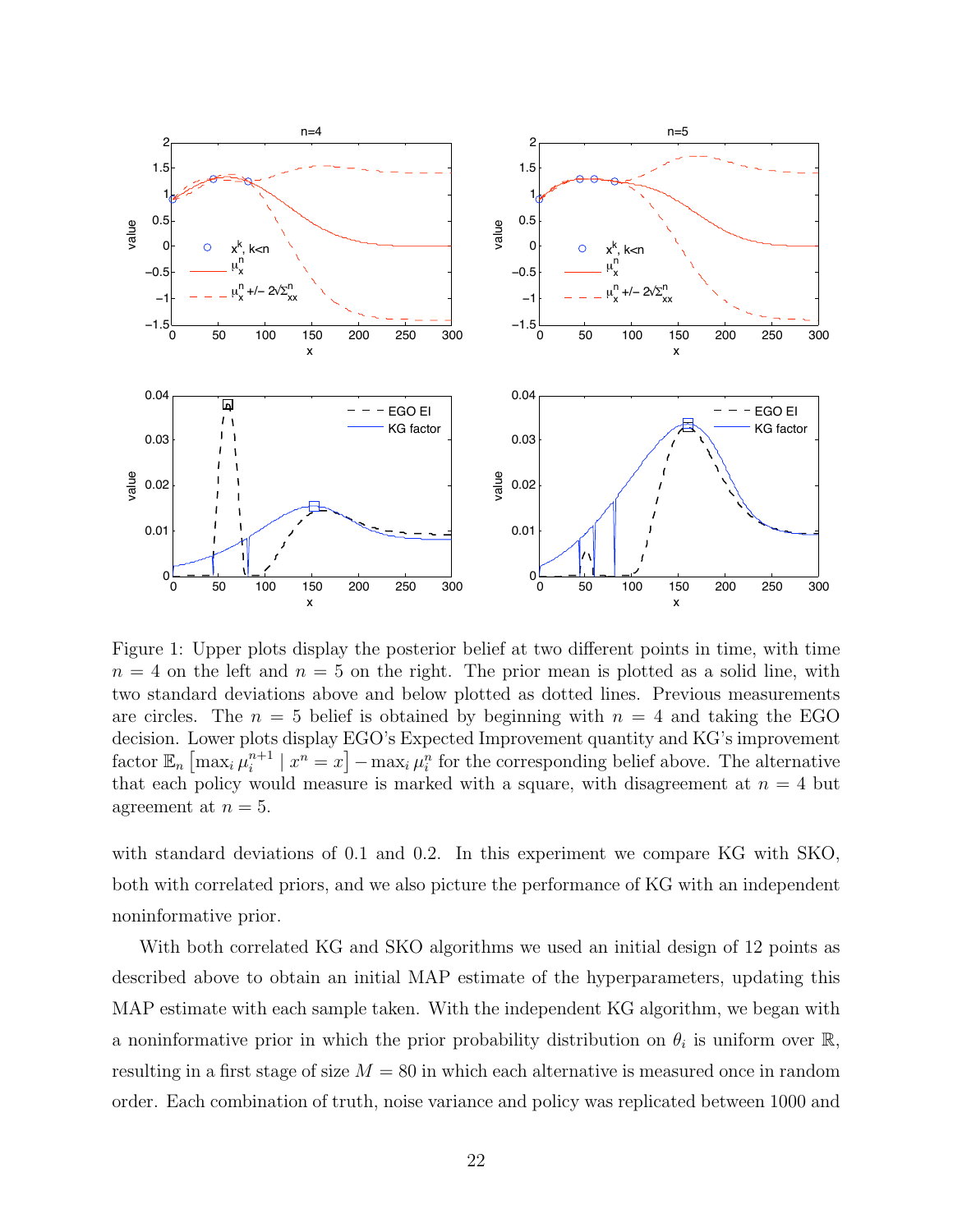

Figure 1: Upper plots display the posterior belief at two different points in time, with time  $n = 4$  on the left and  $n = 5$  on the right. The prior mean is plotted as a solid line, with two standard deviations above and below plotted as dotted lines. Previous measurements are circles. The  $n = 5$  belief is obtained by beginning with  $n = 4$  and taking the EGO decision. Lower plots display EGO's Expected Improvement quantity and KG's improvement factor  $\mathbb{E}_n \left[\max_i \mu_i^{n+1}\right]$  $\binom{n+1}{i}$  |  $x^n = x$ ] – max<sub>i</sub>  $\mu_i^n$  for the corresponding belief above. The alternative that each policy would measure is marked with a square, with disagreement at  $n = 4$  but agreement at  $n = 5$ .

with standard deviations of 0.1 and 0.2. In this experiment we compare KG with SKO, both with correlated priors, and we also picture the performance of KG with an independent noninformative prior.

With both correlated KG and SKO algorithms we used an initial design of 12 points as described above to obtain an initial MAP estimate of the hyperparameters, updating this MAP estimate with each sample taken. With the independent KG algorithm, we began with a noninformative prior in which the prior probability distribution on  $\theta_i$  is uniform over  $\mathbb{R}$ , resulting in a first stage of size  $M = 80$  in which each alternative is measured once in random order. Each combination of truth, noise variance and policy was replicated between 1000 and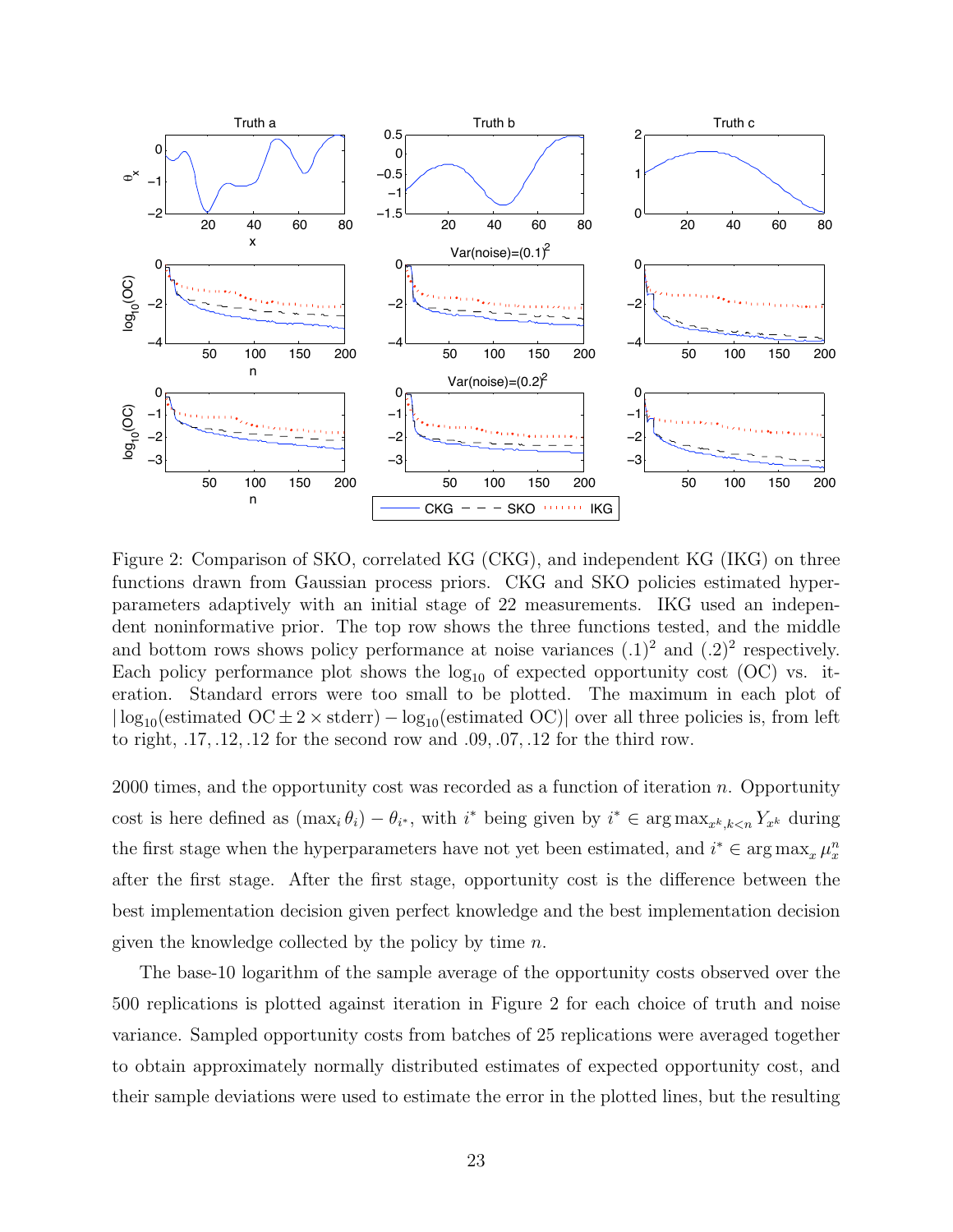

Figure 2: Comparison of SKO, correlated KG (CKG), and independent KG (IKG) on three functions drawn from Gaussian process priors. CKG and SKO policies estimated hyperparameters adaptively with an initial stage of 22 measurements. IKG used an independent noninformative prior. The top row shows the three functions tested, and the middle and bottom rows shows policy performance at noise variances  $(0.1)^2$  and  $(0.2)^2$  respectively. Each policy performance plot shows the  $log_{10}$  of expected opportunity cost (OC) vs. iteration. Standard errors were too small to be plotted. The maximum in each plot of  $|\log_{10}(\text{estimated OC} \pm 2 \times \text{stderr}) - \log_{10}(\text{estimated OC})|$  over all three policies is, from left to right, .17, .12, .12 for the second row and .09, .07, .12 for the third row.

 $2000$  times, and the opportunity cost was recorded as a function of iteration n. Opportunity cost is here defined as  $(\max_i \theta_i) - \theta_{i^*}$ , with  $i^*$  being given by  $i^* \in \arg \max_{x^k, k < n} Y_{x^k}$  during the first stage when the hyperparameters have not yet been estimated, and  $i^* \in \arg \max_x \mu_x^n$ after the first stage. After the first stage, opportunity cost is the difference between the best implementation decision given perfect knowledge and the best implementation decision given the knowledge collected by the policy by time  $n$ .

The base-10 logarithm of the sample average of the opportunity costs observed over the 500 replications is plotted against iteration in Figure 2 for each choice of truth and noise variance. Sampled opportunity costs from batches of 25 replications were averaged together to obtain approximately normally distributed estimates of expected opportunity cost, and their sample deviations were used to estimate the error in the plotted lines, but the resulting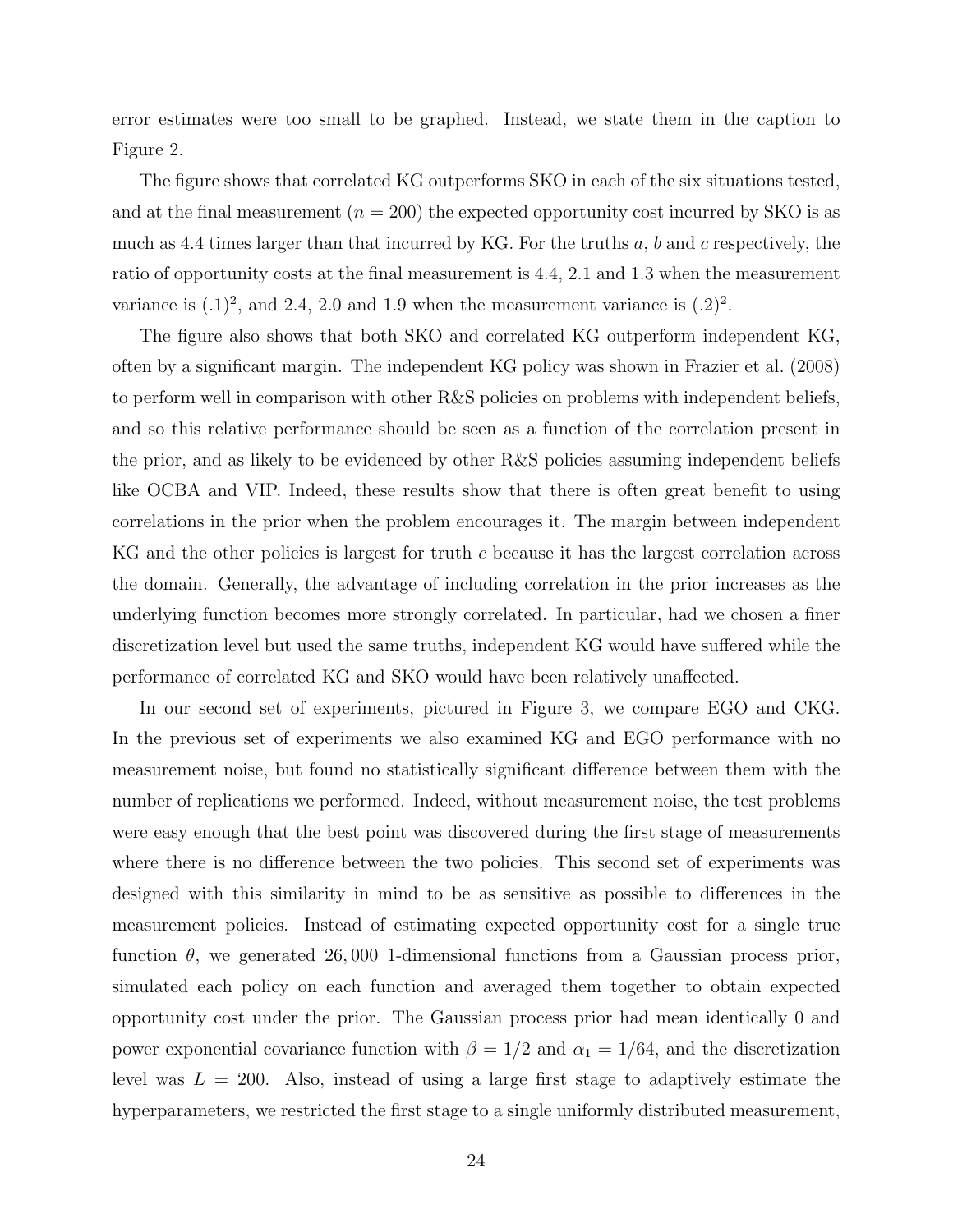error estimates were too small to be graphed. Instead, we state them in the caption to Figure 2.

The figure shows that correlated KG outperforms SKO in each of the six situations tested, and at the final measurement  $(n = 200)$  the expected opportunity cost incurred by SKO is as much as 4.4 times larger than that incurred by KG. For the truths  $a, b$  and c respectively, the ratio of opportunity costs at the final measurement is 4.4, 2.1 and 1.3 when the measurement variance is  $(0.1)^2$ , and 2.4, 2.0 and 1.9 when the measurement variance is  $(0.2)^2$ .

The figure also shows that both SKO and correlated KG outperform independent KG, often by a significant margin. The independent KG policy was shown in Frazier et al. (2008) to perform well in comparison with other R&S policies on problems with independent beliefs, and so this relative performance should be seen as a function of the correlation present in the prior, and as likely to be evidenced by other R&S policies assuming independent beliefs like OCBA and VIP. Indeed, these results show that there is often great benefit to using correlations in the prior when the problem encourages it. The margin between independent KG and the other policies is largest for truth c because it has the largest correlation across the domain. Generally, the advantage of including correlation in the prior increases as the underlying function becomes more strongly correlated. In particular, had we chosen a finer discretization level but used the same truths, independent KG would have suffered while the performance of correlated KG and SKO would have been relatively unaffected.

In our second set of experiments, pictured in Figure 3, we compare EGO and CKG. In the previous set of experiments we also examined KG and EGO performance with no measurement noise, but found no statistically significant difference between them with the number of replications we performed. Indeed, without measurement noise, the test problems were easy enough that the best point was discovered during the first stage of measurements where there is no difference between the two policies. This second set of experiments was designed with this similarity in mind to be as sensitive as possible to differences in the measurement policies. Instead of estimating expected opportunity cost for a single true function  $\theta$ , we generated 26,000 1-dimensional functions from a Gaussian process prior, simulated each policy on each function and averaged them together to obtain expected opportunity cost under the prior. The Gaussian process prior had mean identically 0 and power exponential covariance function with  $\beta = 1/2$  and  $\alpha_1 = 1/64$ , and the discretization level was  $L = 200$ . Also, instead of using a large first stage to adaptively estimate the hyperparameters, we restricted the first stage to a single uniformly distributed measurement,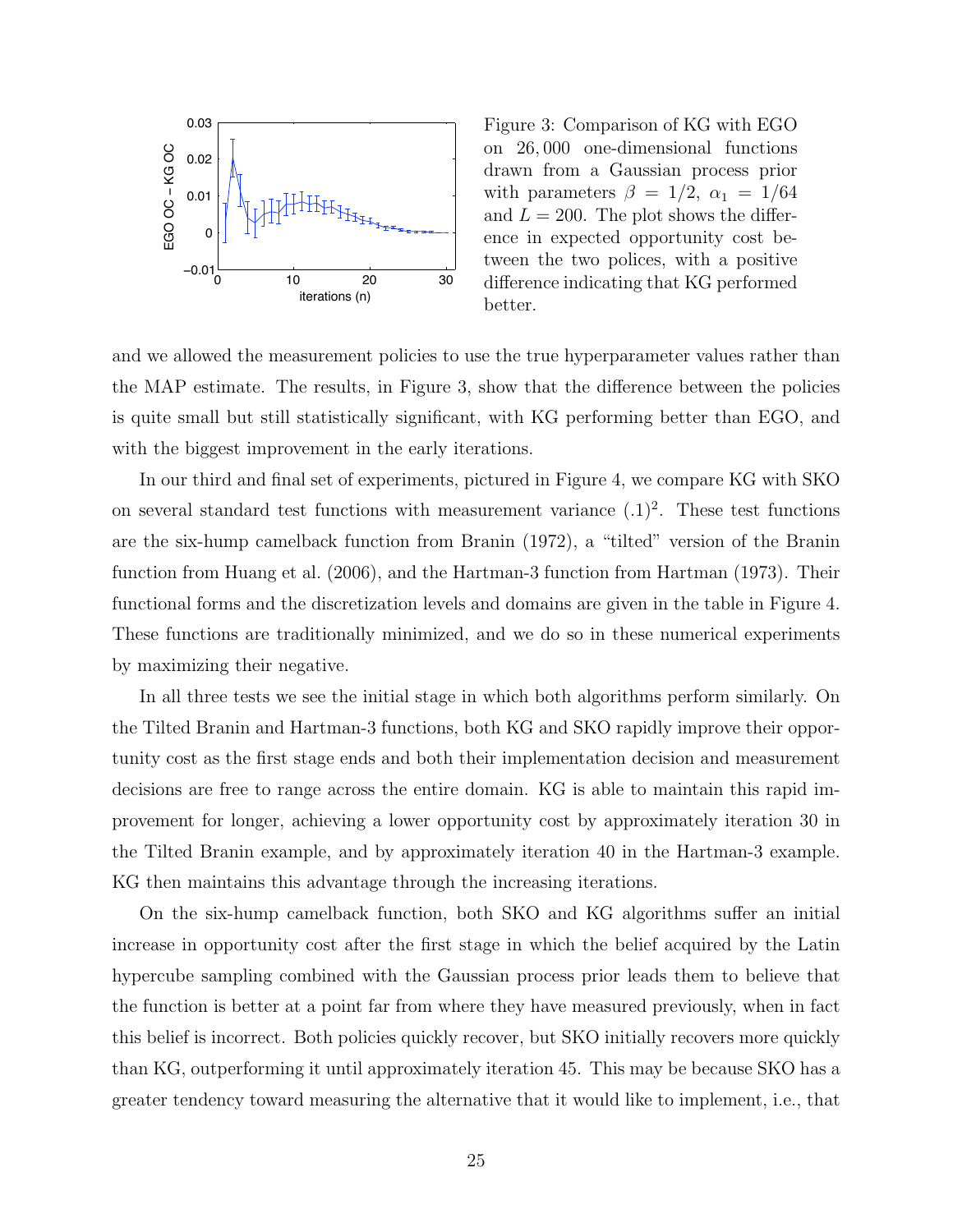

Figure 3: Comparison of KG with EGO on 26, 000 one-dimensional functions drawn from a Gaussian process prior with parameters  $\beta = 1/2, \alpha_1 = 1/64$ and  $L = 200$ . The plot shows the difference in expected opportunity cost between the two polices, with a positive difference indicating that KG performed better.

and we allowed the measurement policies to use the true hyperparameter values rather than the MAP estimate. The results, in Figure 3, show that the difference between the policies is quite small but still statistically significant, with KG performing better than EGO, and with the biggest improvement in the early iterations.

In our third and final set of experiments, pictured in Figure 4, we compare KG with SKO on several standard test functions with measurement variance  $(0.1)^2$ . These test functions are the six-hump camelback function from Branin (1972), a "tilted" version of the Branin function from Huang et al. (2006), and the Hartman-3 function from Hartman (1973). Their functional forms and the discretization levels and domains are given in the table in Figure 4. These functions are traditionally minimized, and we do so in these numerical experiments by maximizing their negative.

In all three tests we see the initial stage in which both algorithms perform similarly. On the Tilted Branin and Hartman-3 functions, both KG and SKO rapidly improve their opportunity cost as the first stage ends and both their implementation decision and measurement decisions are free to range across the entire domain. KG is able to maintain this rapid improvement for longer, achieving a lower opportunity cost by approximately iteration 30 in the Tilted Branin example, and by approximately iteration 40 in the Hartman-3 example. KG then maintains this advantage through the increasing iterations.

On the six-hump camelback function, both SKO and KG algorithms suffer an initial increase in opportunity cost after the first stage in which the belief acquired by the Latin hypercube sampling combined with the Gaussian process prior leads them to believe that the function is better at a point far from where they have measured previously, when in fact this belief is incorrect. Both policies quickly recover, but SKO initially recovers more quickly than KG, outperforming it until approximately iteration 45. This may be because SKO has a greater tendency toward measuring the alternative that it would like to implement, i.e., that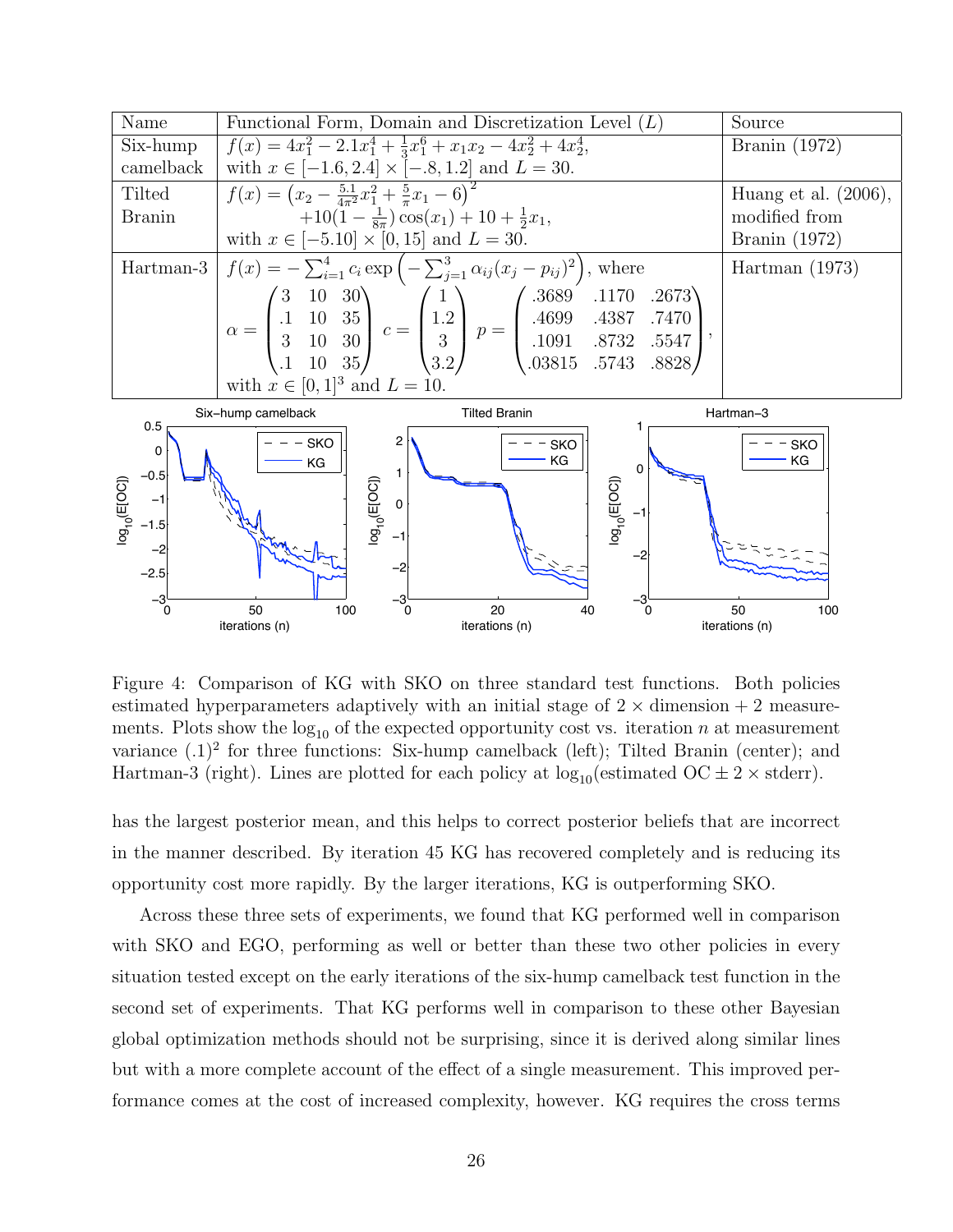

Figure 4: Comparison of KG with SKO on three standard test functions. Both policies estimated hyperparameters adaptively with an initial stage of  $2 \times$  dimension  $+ 2$  measurements. Plots show the  $log_{10}$  of the expected opportunity cost vs. iteration n at measurement variance  $(0.1)^2$  for three functions: Six-hump camelback (left); Tilted Branin (center); and Hartman-3 (right). Lines are plotted for each policy at  $log_{10}(estimated \, OC \pm 2 \times stderr)$ .

has the largest posterior mean, and this helps to correct posterior beliefs that are incorrect in the manner described. By iteration 45 KG has recovered completely and is reducing its opportunity cost more rapidly. By the larger iterations, KG is outperforming SKO.

Across these three sets of experiments, we found that KG performed well in comparison with SKO and EGO, performing as well or better than these two other policies in every situation tested except on the early iterations of the six-hump camelback test function in the second set of experiments. That KG performs well in comparison to these other Bayesian global optimization methods should not be surprising, since it is derived along similar lines but with a more complete account of the effect of a single measurement. This improved performance comes at the cost of increased complexity, however. KG requires the cross terms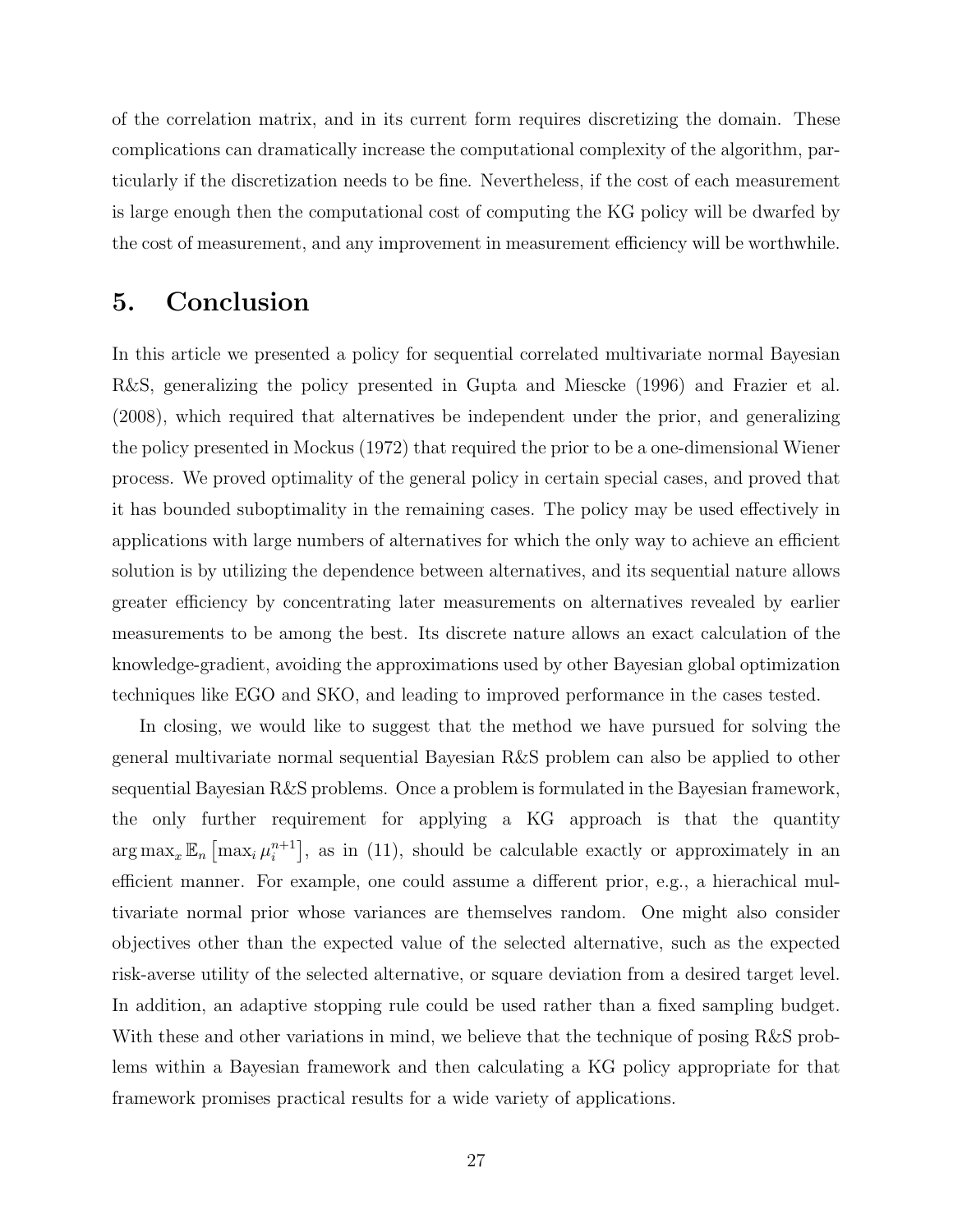of the correlation matrix, and in its current form requires discretizing the domain. These complications can dramatically increase the computational complexity of the algorithm, particularly if the discretization needs to be fine. Nevertheless, if the cost of each measurement is large enough then the computational cost of computing the KG policy will be dwarfed by the cost of measurement, and any improvement in measurement efficiency will be worthwhile.

### 5. Conclusion

In this article we presented a policy for sequential correlated multivariate normal Bayesian R&S, generalizing the policy presented in Gupta and Miescke (1996) and Frazier et al. (2008), which required that alternatives be independent under the prior, and generalizing the policy presented in Mockus (1972) that required the prior to be a one-dimensional Wiener process. We proved optimality of the general policy in certain special cases, and proved that it has bounded suboptimality in the remaining cases. The policy may be used effectively in applications with large numbers of alternatives for which the only way to achieve an efficient solution is by utilizing the dependence between alternatives, and its sequential nature allows greater efficiency by concentrating later measurements on alternatives revealed by earlier measurements to be among the best. Its discrete nature allows an exact calculation of the knowledge-gradient, avoiding the approximations used by other Bayesian global optimization techniques like EGO and SKO, and leading to improved performance in the cases tested.

In closing, we would like to suggest that the method we have pursued for solving the general multivariate normal sequential Bayesian R&S problem can also be applied to other sequential Bayesian R&S problems. Once a problem is formulated in the Bayesian framework, the only further requirement for applying a KG approach is that the quantity  $\arg \max_{x} \mathbb{E}_n \left[ \max_i \mu_i^{n+1} \right]$  $\binom{n+1}{i}$ , as in (11), should be calculable exactly or approximately in an efficient manner. For example, one could assume a different prior, e.g., a hierachical multivariate normal prior whose variances are themselves random. One might also consider objectives other than the expected value of the selected alternative, such as the expected risk-averse utility of the selected alternative, or square deviation from a desired target level. In addition, an adaptive stopping rule could be used rather than a fixed sampling budget. With these and other variations in mind, we believe that the technique of posing R&S problems within a Bayesian framework and then calculating a KG policy appropriate for that framework promises practical results for a wide variety of applications.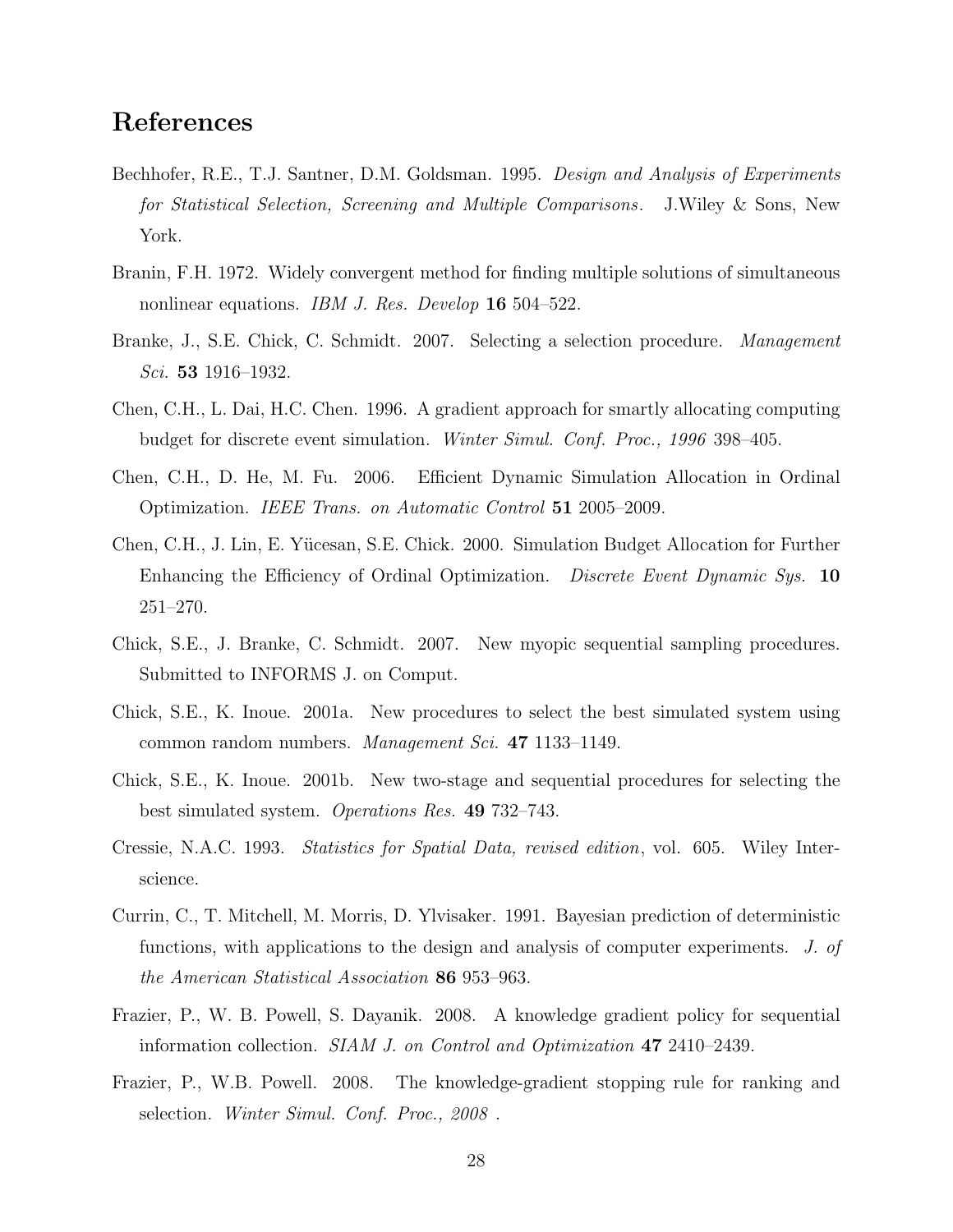## References

- Bechhofer, R.E., T.J. Santner, D.M. Goldsman. 1995. Design and Analysis of Experiments for Statistical Selection, Screening and Multiple Comparisons. J.Wiley & Sons, New York.
- Branin, F.H. 1972. Widely convergent method for finding multiple solutions of simultaneous nonlinear equations. IBM J. Res. Develop 16 504–522.
- Branke, J., S.E. Chick, C. Schmidt. 2007. Selecting a selection procedure. Management Sci. 53 1916–1932.
- Chen, C.H., L. Dai, H.C. Chen. 1996. A gradient approach for smartly allocating computing budget for discrete event simulation. Winter Simul. Conf. Proc., 1996 398–405.
- Chen, C.H., D. He, M. Fu. 2006. Efficient Dynamic Simulation Allocation in Ordinal Optimization. IEEE Trans. on Automatic Control 51 2005–2009.
- Chen, C.H., J. Lin, E. Yücesan, S.E. Chick. 2000. Simulation Budget Allocation for Further Enhancing the Efficiency of Ordinal Optimization. Discrete Event Dynamic Sys. 10 251–270.
- Chick, S.E., J. Branke, C. Schmidt. 2007. New myopic sequential sampling procedures. Submitted to INFORMS J. on Comput.
- Chick, S.E., K. Inoue. 2001a. New procedures to select the best simulated system using common random numbers. Management Sci. 47 1133–1149.
- Chick, S.E., K. Inoue. 2001b. New two-stage and sequential procedures for selecting the best simulated system. *Operations Res.* 49 732–743.
- Cressie, N.A.C. 1993. Statistics for Spatial Data, revised edition, vol. 605. Wiley Interscience.
- Currin, C., T. Mitchell, M. Morris, D. Ylvisaker. 1991. Bayesian prediction of deterministic functions, with applications to the design and analysis of computer experiments. J. of the American Statistical Association 86 953–963.
- Frazier, P., W. B. Powell, S. Dayanik. 2008. A knowledge gradient policy for sequential information collection. SIAM J. on Control and Optimization 47 2410–2439.
- Frazier, P., W.B. Powell. 2008. The knowledge-gradient stopping rule for ranking and selection. Winter Simul. Conf. Proc., 2008.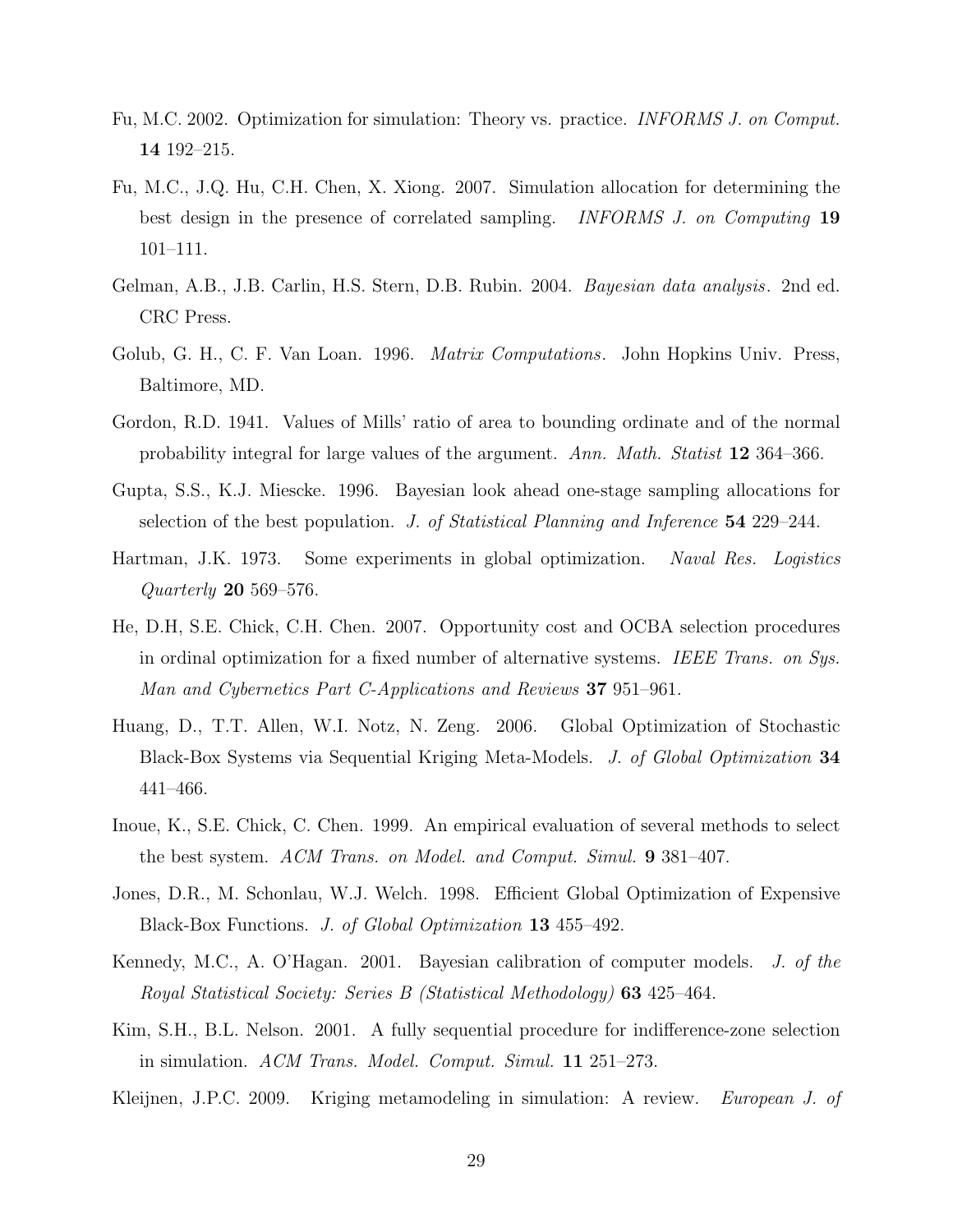- Fu, M.C. 2002. Optimization for simulation: Theory vs. practice. INFORMS J. on Comput. 14 192–215.
- Fu, M.C., J.Q. Hu, C.H. Chen, X. Xiong. 2007. Simulation allocation for determining the best design in the presence of correlated sampling. *INFORMS J. on Computing* 19 101–111.
- Gelman, A.B., J.B. Carlin, H.S. Stern, D.B. Rubin. 2004. Bayesian data analysis. 2nd ed. CRC Press.
- Golub, G. H., C. F. Van Loan. 1996. *Matrix Computations.* John Hopkins Univ. Press, Baltimore, MD.
- Gordon, R.D. 1941. Values of Mills' ratio of area to bounding ordinate and of the normal probability integral for large values of the argument. Ann. Math. Statist 12 364–366.
- Gupta, S.S., K.J. Miescke. 1996. Bayesian look ahead one-stage sampling allocations for selection of the best population. J. of Statistical Planning and Inference 54 229–244.
- Hartman, J.K. 1973. Some experiments in global optimization. Naval Res. Logistics Quarterly 20 569–576.
- He, D.H, S.E. Chick, C.H. Chen. 2007. Opportunity cost and OCBA selection procedures in ordinal optimization for a fixed number of alternative systems. IEEE Trans. on Sys. Man and Cybernetics Part C-Applications and Reviews 37 951–961.
- Huang, D., T.T. Allen, W.I. Notz, N. Zeng. 2006. Global Optimization of Stochastic Black-Box Systems via Sequential Kriging Meta-Models. J. of Global Optimization 34 441–466.
- Inoue, K., S.E. Chick, C. Chen. 1999. An empirical evaluation of several methods to select the best system. ACM Trans. on Model. and Comput. Simul. 9 381–407.
- Jones, D.R., M. Schonlau, W.J. Welch. 1998. Efficient Global Optimization of Expensive Black-Box Functions. J. of Global Optimization 13 455–492.
- Kennedy, M.C., A. O'Hagan. 2001. Bayesian calibration of computer models. J. of the Royal Statistical Society: Series B (Statistical Methodology) 63 425–464.
- Kim, S.H., B.L. Nelson. 2001. A fully sequential procedure for indifference-zone selection in simulation. ACM Trans. Model. Comput. Simul. 11 251–273.
- Kleijnen, J.P.C. 2009. Kriging metamodeling in simulation: A review. European J. of